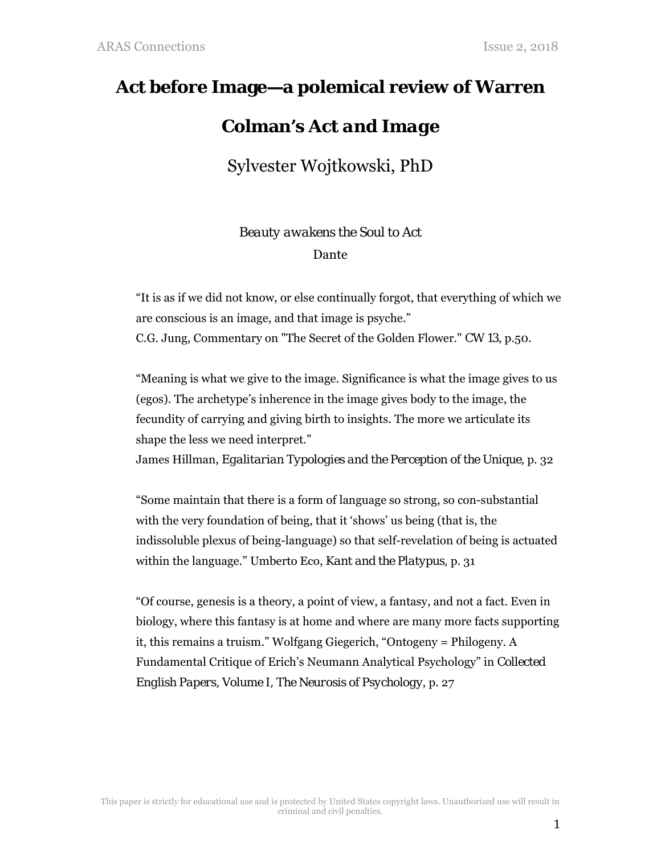## **Act before Image—a polemical review of Warren**

## **Colman's** *Act and Image*

Sylvester Wojtkowski, PhD

*Beauty awakens the Soul to Act*  Dante

"It is as if we did not know, or else continually forgot, that everything of which we are conscious is an image, and that image is psyche." C.G. Jung, Commentary on "The Secret of the Golden Flower." *CW 13*, p.50.

"Meaning is what we give to the image. Significance is what the image gives to us (egos). The archetype's inherence in the image gives body to the image, the fecundity of carrying and giving birth to insights. The more we articulate its shape the less we need interpret."

James Hillman, *Egalitarian Typologies and the Perception of the Unique,* p. 32

"Some maintain that there is a form of language so strong, so con-substantial with the very foundation of being, that it 'shows' us being (that is, the indissoluble plexus of being-language) so that self-revelation of being is actuated within the language." Umberto Eco, *Kant and the Platypus,* p. 31

"Of course, genesis is a theory, a point of view, a fantasy, and not a fact. Even in biology, where this fantasy is at home and where are many more facts supporting it, this remains a truism." Wolfgang Giegerich, "Ontogeny = Philogeny. A Fundamental Critique of Erich's Neumann Analytical Psychology" in *Collected English Papers, Volume I, The Neurosis of Psychology*, p. 27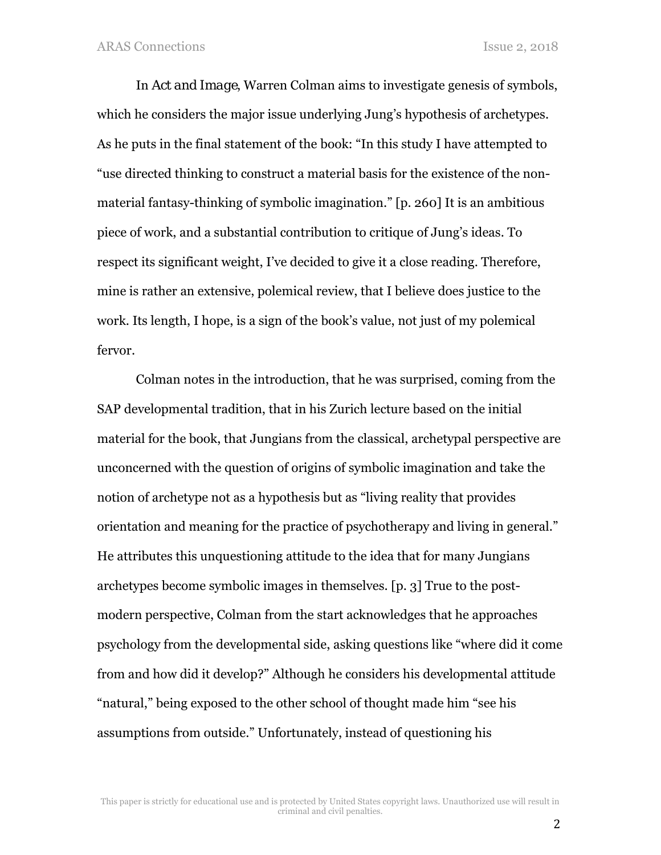In *Act and Image*, Warren Colman aims to investigate genesis of symbols, which he considers the major issue underlying Jung's hypothesis of archetypes. As he puts in the final statement of the book: "In this study I have attempted to "use directed thinking to construct a material basis for the existence of the nonmaterial fantasy-thinking of symbolic imagination." [p. 260] It is an ambitious piece of work, and a substantial contribution to critique of Jung's ideas. To respect its significant weight, I've decided to give it a close reading. Therefore, mine is rather an extensive, polemical review, that I believe does justice to the work. Its length, I hope, is a sign of the book's value, not just of my polemical fervor.

Colman notes in the introduction, that he was surprised, coming from the SAP developmental tradition, that in his Zurich lecture based on the initial material for the book, that Jungians from the classical, archetypal perspective are unconcerned with the question of origins of symbolic imagination and take the notion of archetype not as a hypothesis but as "living reality that provides orientation and meaning for the practice of psychotherapy and living in general." He attributes this unquestioning attitude to the idea that for many Jungians archetypes become symbolic images in themselves. [p. 3] True to the postmodern perspective, Colman from the start acknowledges that he approaches psychology from the developmental side, asking questions like "where did it come from and how did it develop?" Although he considers his developmental attitude "natural," being exposed to the other school of thought made him "see his assumptions from outside." Unfortunately, instead of questioning his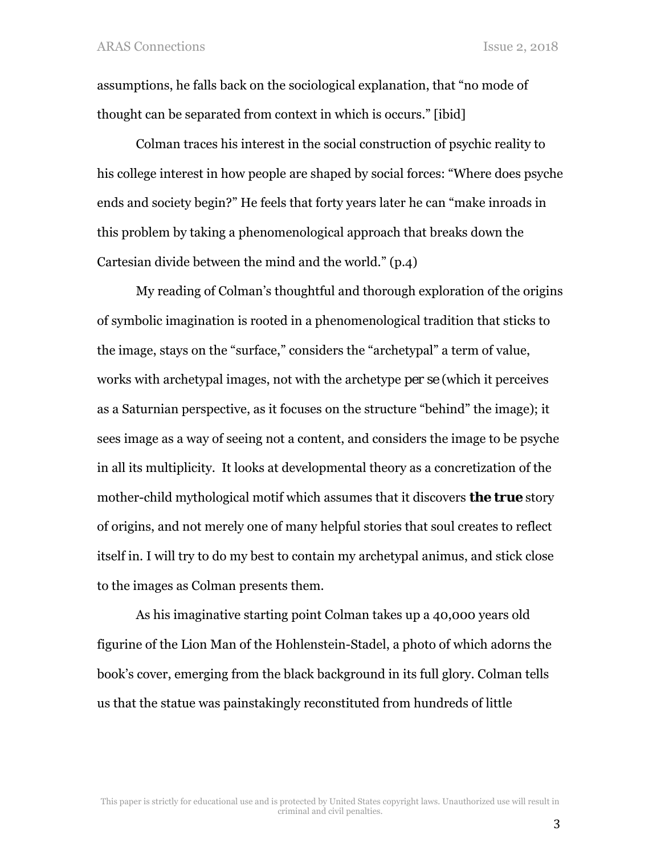assumptions, he falls back on the sociological explanation, that "no mode of thought can be separated from context in which is occurs." [ibid]

Colman traces his interest in the social construction of psychic reality to his college interest in how people are shaped by social forces: "Where does psyche ends and society begin?" He feels that forty years later he can "make inroads in this problem by taking a phenomenological approach that breaks down the Cartesian divide between the mind and the world." (p.4)

My reading of Colman's thoughtful and thorough exploration of the origins of symbolic imagination is rooted in a phenomenological tradition that sticks to the image, stays on the "surface," considers the "archetypal" a term of value, works with archetypal images, not with the archetype *per se* (which it perceives as a Saturnian perspective, as it focuses on the structure "behind" the image); it sees image as a way of seeing not a content, and considers the image to be psyche in all its multiplicity. It looks at developmental theory as a concretization of the mother-child mythological motif which assumes that it discovers *the true* story of origins, and not merely one of many helpful stories that soul creates to reflect itself in. I will try to do my best to contain my archetypal animus, and stick close to the images as Colman presents them.

As his imaginative starting point Colman takes up a 40,000 years old figurine of the Lion Man of the Hohlenstein-Stadel, a photo of which adorns the book's cover, emerging from the black background in its full glory. Colman tells us that the statue was painstakingly reconstituted from hundreds of little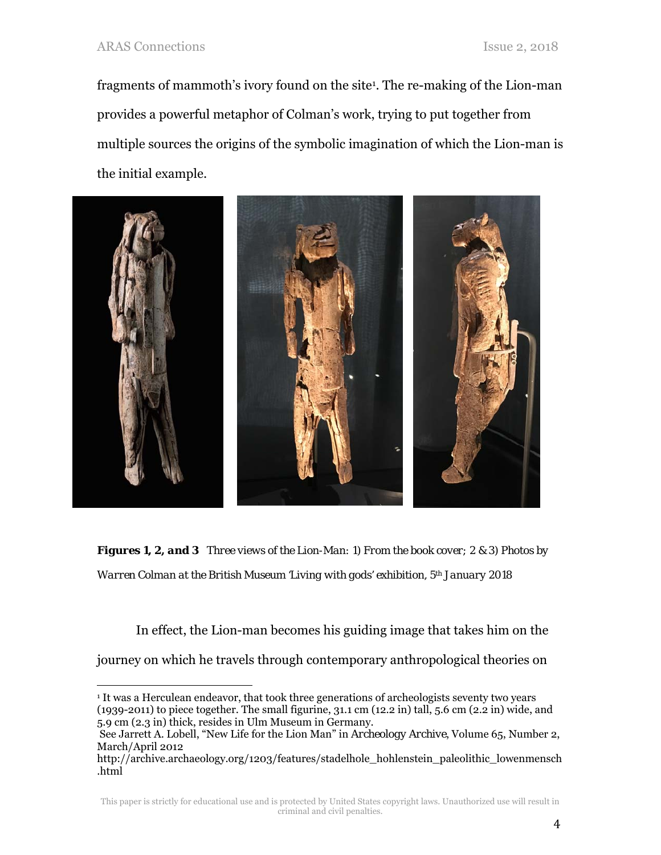fragments of mammoth's ivory found on the site1. The re-making of the Lion-man provides a powerful metaphor of Colman's work, trying to put together from multiple sources the origins of the symbolic imagination of which the Lion-man is the initial example.



*Figures 1, 2, and 3 Three views of the Lion-Man: 1) From the book cover; 2 & 3) Photos by Warren Colman at the British Museum 'Living with gods' exhibition, 5th January 2018* 

In effect, the Lion-man becomes his guiding image that takes him on the journey on which he travels through contemporary anthropological theories on

l <sup>1</sup> It was a Herculean endeavor, that took three generations of archeologists seventy two years (1939-2011) to piece together. The small figurine, 31.1 cm (12.2 in) tall, 5.6 cm (2.2 in) wide, and 5.9 cm (2.3 in) thick, resides in Ulm Museum in Germany.

See Jarrett A. Lobell, "New Life for the Lion Man" in *Archeology Archive*, Volume 65, Number 2, March/April 2012

http://archive.archaeology.org/1203/features/stadelhole\_hohlenstein\_paleolithic\_lowenmensch .html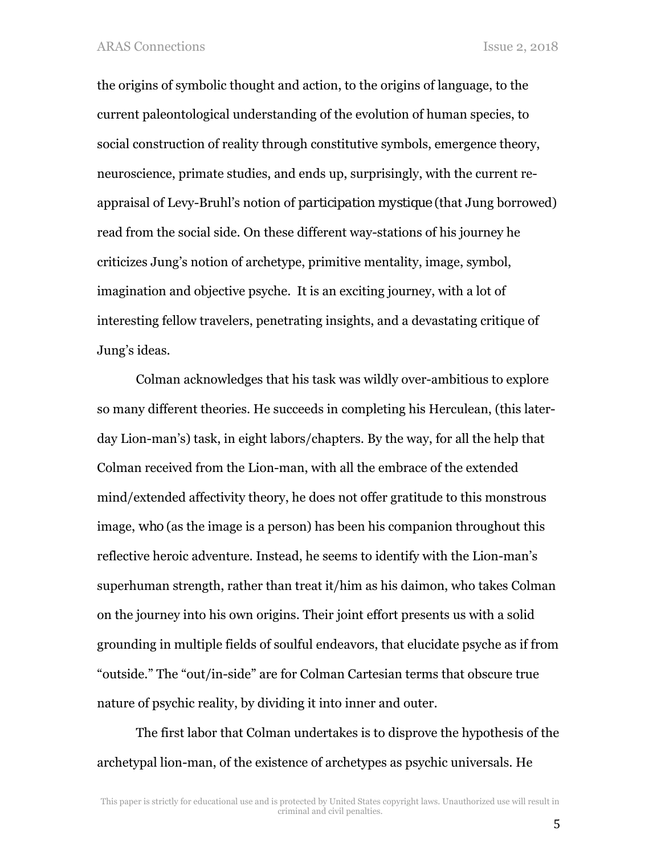the origins of symbolic thought and action, to the origins of language, to the current paleontological understanding of the evolution of human species, to social construction of reality through constitutive symbols, emergence theory, neuroscience, primate studies, and ends up, surprisingly, with the current reappraisal of Levy-Bruhl's notion of *participation mystique* (that Jung borrowed) read from the social side. On these different way-stations of his journey he criticizes Jung's notion of archetype, primitive mentality, image, symbol, imagination and objective psyche. It is an exciting journey, with a lot of interesting fellow travelers, penetrating insights, and a devastating critique of Jung's ideas.

Colman acknowledges that his task was wildly over-ambitious to explore so many different theories. He succeeds in completing his Herculean, (this laterday Lion-man's) task, in eight labors/chapters. By the way, for all the help that Colman received from the Lion-man, with all the embrace of the extended mind/extended affectivity theory, he does not offer gratitude to this monstrous image, *who* (as the image is a person) has been his companion throughout this reflective heroic adventure. Instead, he seems to identify with the Lion-man's superhuman strength, rather than treat it/him as his daimon, who takes Colman on the journey into his own origins. Their joint effort presents us with a solid grounding in multiple fields of soulful endeavors, that elucidate psyche as if from "outside." The "out/in-side" are for Colman Cartesian terms that obscure true nature of psychic reality, by dividing it into inner and outer.

The first labor that Colman undertakes is to disprove the hypothesis of the archetypal lion-man, of the existence of archetypes as psychic universals. He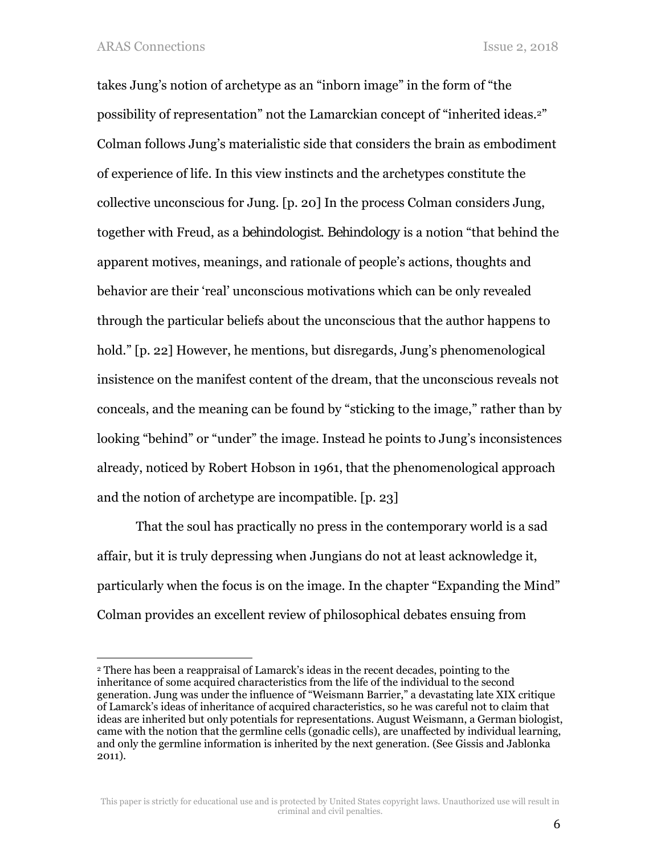$\overline{a}$ 

takes Jung's notion of archetype as an "inborn image" in the form of "the possibility of representation" not the Lamarckian concept of "inherited ideas.2" Colman follows Jung's materialistic side that considers the brain as embodiment of experience of life. In this view instincts and the archetypes constitute the collective unconscious for Jung. [p. 20] In the process Colman considers Jung, together with Freud, as a *behindologist*. *Behindology* is a notion "that behind the apparent motives, meanings, and rationale of people's actions, thoughts and behavior are their 'real' unconscious motivations which can be only revealed through the particular beliefs about the unconscious that the author happens to hold." [p. 22] However, he mentions, but disregards, Jung's phenomenological insistence on the manifest content of the dream, that the unconscious reveals not conceals, and the meaning can be found by "sticking to the image," rather than by looking "behind" or "under" the image. Instead he points to Jung's inconsistences already, noticed by Robert Hobson in 1961, that the phenomenological approach and the notion of archetype are incompatible. [p. 23]

That the soul has practically no press in the contemporary world is a sad affair, but it is truly depressing when Jungians do not at least acknowledge it, particularly when the focus is on the image. In the chapter "Expanding the Mind" Colman provides an excellent review of philosophical debates ensuing from

<sup>2</sup> There has been a reappraisal of Lamarck's ideas in the recent decades, pointing to the inheritance of some acquired characteristics from the life of the individual to the second generation. Jung was under the influence of "Weismann Barrier," a devastating late XIX critique of Lamarck's ideas of inheritance of acquired characteristics, so he was careful not to claim that ideas are inherited but only potentials for representations. August Weismann, a German biologist, came with the notion that the germline cells (gonadic cells), are unaffected by individual learning, and only the germline information is inherited by the next generation. (See Gissis and Jablonka 2011).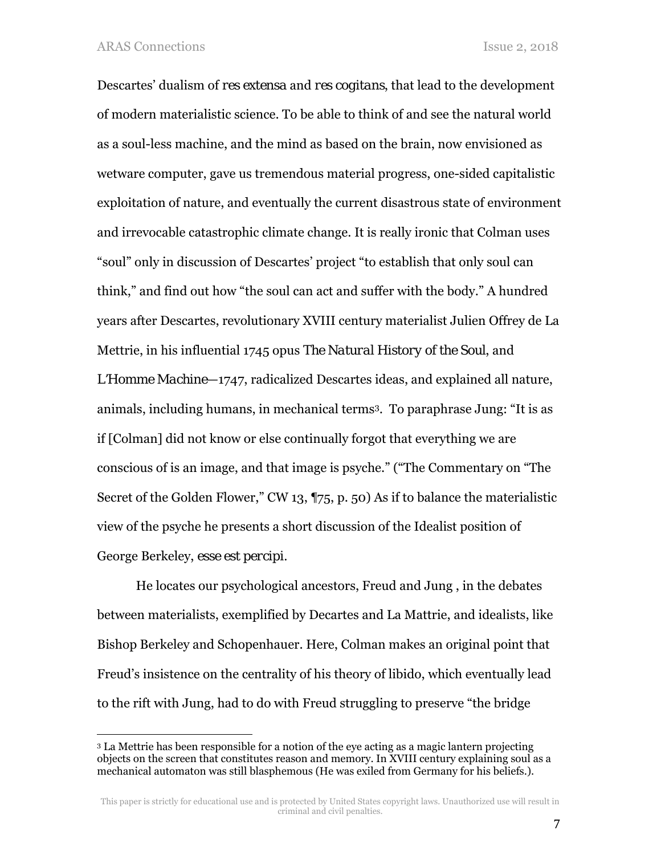l

Descartes' dualism of *res extensa* and *res cogitans*, that lead to the development of modern materialistic science. To be able to think of and see the natural world as a soul-less machine, and the mind as based on the brain, now envisioned as wetware computer, gave us tremendous material progress, one-sided capitalistic exploitation of nature, and eventually the current disastrous state of environment and irrevocable catastrophic climate change. It is really ironic that Colman uses "soul" only in discussion of Descartes' project "to establish that only soul can think," and find out how "the soul can act and suffer with the body." A hundred years after Descartes, revolutionary XVIII century materialist Julien Offrey de La Mettrie, in his influential 1745 opus *The Natural History of the Soul*, and

*L'Homme Machine*—1747, radicalized Descartes ideas, and explained all nature, animals, including humans, in mechanical terms3. To paraphrase Jung: "It is as if [Colman] did not know or else continually forgot that everything we are conscious of is an image, and that image is psyche." ("The Commentary on "The Secret of the Golden Flower," CW 13, ¶75, p. 50) As if to balance the materialistic view of the psyche he presents a short discussion of the Idealist position of George Berkeley, *esse est percipi.*

He locates our psychological ancestors, Freud and Jung , in the debates between materialists, exemplified by Decartes and La Mattrie, and idealists, like Bishop Berkeley and Schopenhauer. Here, Colman makes an original point that Freud's insistence on the centrality of his theory of libido, which eventually lead to the rift with Jung, had to do with Freud struggling to preserve "the bridge

<sup>3</sup> La Mettrie has been responsible for a notion of the eye acting as a magic lantern projecting objects on the screen that constitutes reason and memory. In XVIII century explaining soul as a mechanical automaton was still blasphemous (He was exiled from Germany for his beliefs.).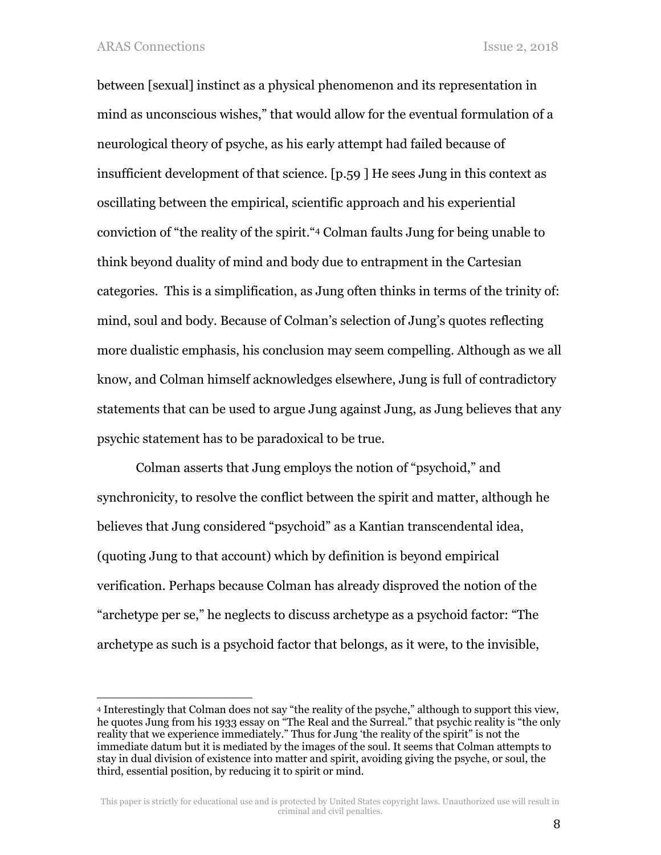1

between [sexual] instinct as a physical phenomenon and its representation in mind as unconscious wishes," that would allow for the eventual formulation of a neurological theory of psyche, as his early attempt had failed because of insufficient development of that science. [p.59 ] He sees Jung in this context as oscillating between the empirical, scientific approach and his experiential conviction of "the reality of the spirit."4 Colman faults Jung for being unable to think beyond duality of mind and body due to entrapment in the Cartesian categories. This is a simplification, as Jung often thinks in terms of the trinity of: mind, soul and body. Because of Colman's selection of Jung's quotes reflecting more dualistic emphasis, his conclusion may seem compelling. Although as we all know, and Colman himself acknowledges elsewhere, Jung is full of contradictory statements that can be used to argue Jung against Jung, as Jung believes that any psychic statement has to be paradoxical to be true.

Colman asserts that Jung employs the notion of "psychoid," and synchronicity, to resolve the conflict between the spirit and matter, although he believes that Jung considered "psychoid" as a Kantian transcendental idea, (quoting Jung to that account) which by definition is beyond empirical verification. Perhaps because Colman has already disproved the notion of the "archetype per se," he neglects to discuss archetype as a psychoid factor: "The archetype as such is a psychoid factor that belongs, as it were, to the invisible,

<sup>4</sup> Interestingly that Colman does not say "the reality of the psyche," although to support this view, he quotes Jung from his 1933 essay on "The Real and the Surreal." that psychic reality is "the only reality that we experience immediately." Thus for Jung 'the reality of the spirit" is not the immediate datum but it is mediated by the images of the soul. It seems that Colman attempts to stay in dual division of existence into matter and spirit, avoiding giving the psyche, or soul, the third, essential position, by reducing it to spirit or mind.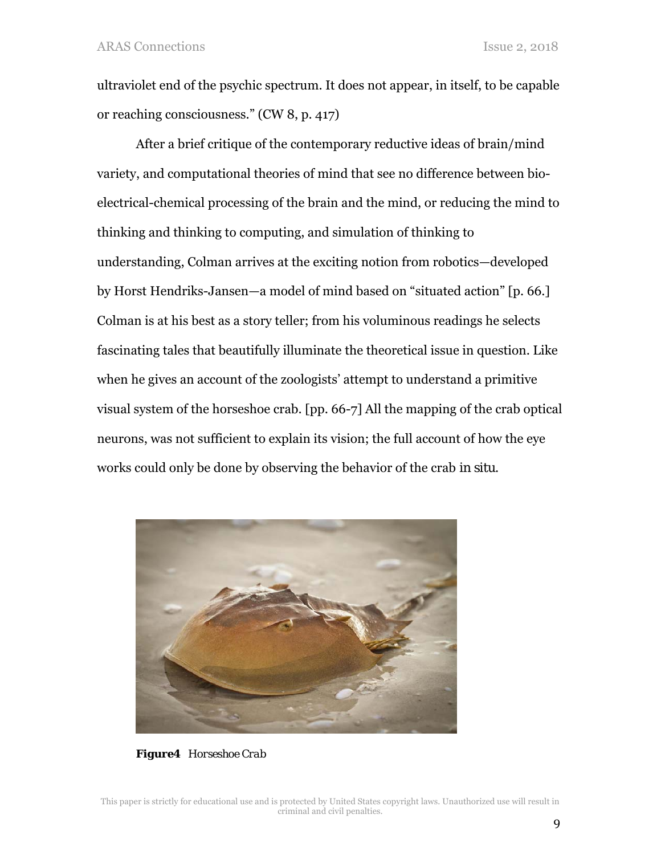ultraviolet end of the psychic spectrum. It does not appear, in itself, to be capable or reaching consciousness." (CW 8, p. 417)

After a brief critique of the contemporary reductive ideas of brain/mind variety, and computational theories of mind that see no difference between bioelectrical-chemical processing of the brain and the mind, or reducing the mind to thinking and thinking to computing, and simulation of thinking to understanding, Colman arrives at the exciting notion from robotics—developed by Horst Hendriks-Jansen—a model of mind based on "situated action" [p. 66.] Colman is at his best as a story teller; from his voluminous readings he selects fascinating tales that beautifully illuminate the theoretical issue in question. Like when he gives an account of the zoologists' attempt to understand a primitive visual system of the horseshoe crab. [pp. 66-7] All the mapping of the crab optical neurons, was not sufficient to explain its vision; the full account of how the eye works could only be done by observing the behavior of the crab *in situ*.



*Figure4 Horseshoe Crab*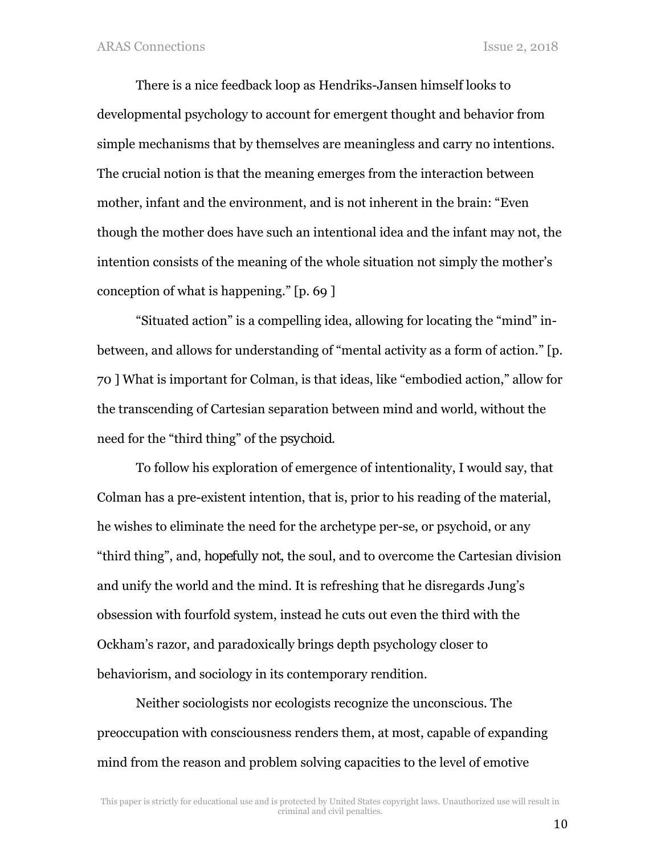There is a nice feedback loop as Hendriks-Jansen himself looks to developmental psychology to account for emergent thought and behavior from simple mechanisms that by themselves are meaningless and carry no intentions. The crucial notion is that the meaning emerges from the interaction between mother, infant and the environment, and is not inherent in the brain: "Even though the mother does have such an intentional idea and the infant may not, the intention consists of the meaning of the whole situation not simply the mother's conception of what is happening." [p. 69 ]

"Situated action" is a compelling idea, allowing for locating the "mind" inbetween, and allows for understanding of "mental activity as a form of action." [p. 70 ] What is important for Colman, is that ideas, like "embodied action," allow for the transcending of Cartesian separation between mind and world, without the need for the "third thing" of the *psychoid*.

To follow his exploration of emergence of intentionality, I would say, that Colman has a pre-existent intention, that is, prior to his reading of the material, he wishes to eliminate the need for the archetype per-se, or psychoid, or any "third thing", and, *hopefully not*, the soul, and to overcome the Cartesian division and unify the world and the mind. It is refreshing that he disregards Jung's obsession with fourfold system, instead he cuts out even the third with the Ockham's razor, and paradoxically brings depth psychology closer to behaviorism, and sociology in its contemporary rendition.

Neither sociologists nor ecologists recognize the unconscious. The preoccupation with consciousness renders them, at most, capable of expanding mind from the reason and problem solving capacities to the level of emotive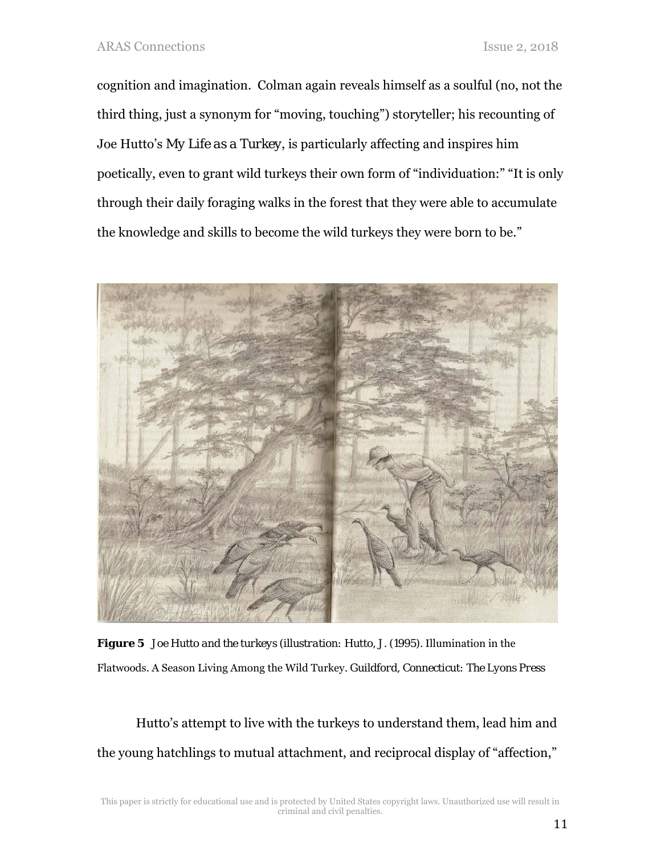cognition and imagination. Colman again reveals himself as a soulful (no, not the third thing, just a synonym for "moving, touching") storyteller; his recounting of Joe Hutto's *My Life as a Turkey*, is particularly affecting and inspires him poetically, even to grant wild turkeys their own form of "individuation:" "It is only through their daily foraging walks in the forest that they were able to accumulate the knowledge and skills to become the wild turkeys they were born to be."



*Figure 5 Joe Hutto and the turkeys (illustration: Hutto, J. (1995).* Illumination in the Flatwoods. A Season Living Among the Wild Turkey*. Guildford, Connecticut: The Lyons Press* 

Hutto's attempt to live with the turkeys to understand them, lead him and the young hatchlings to mutual attachment, and reciprocal display of "affection,"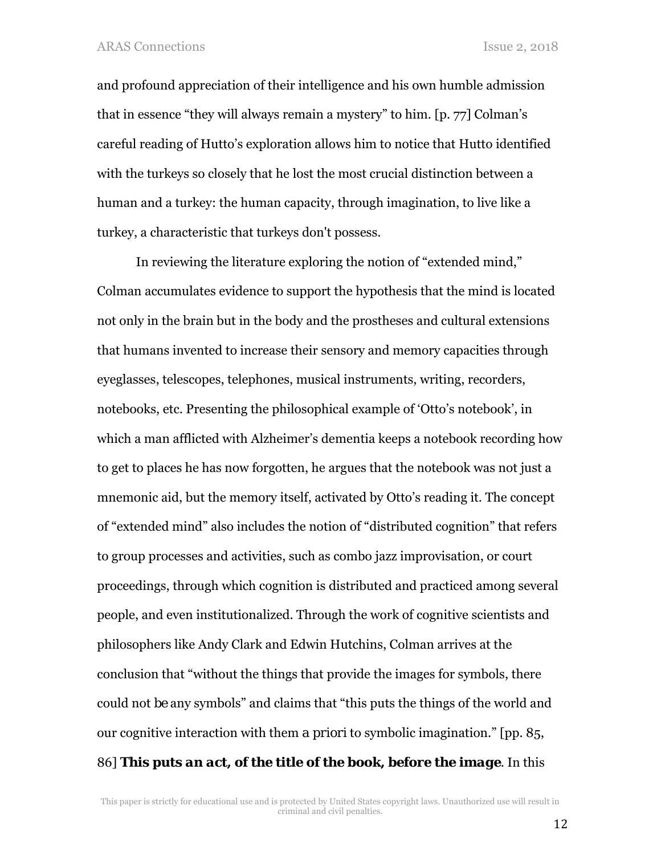and profound appreciation of their intelligence and his own humble admission that in essence "they will always remain a mystery" to him. [p. 77] Colman's careful reading of Hutto's exploration allows him to notice that Hutto identified with the turkeys so closely that he lost the most crucial distinction between a human and a turkey: the human capacity, through imagination, to live like a turkey, a characteristic that turkeys don't possess.

In reviewing the literature exploring the notion of "extended mind," Colman accumulates evidence to support the hypothesis that the mind is located not only in the brain but in the body and the prostheses and cultural extensions that humans invented to increase their sensory and memory capacities through eyeglasses, telescopes, telephones, musical instruments, writing, recorders, notebooks, etc. Presenting the philosophical example of 'Otto's notebook', in which a man afflicted with Alzheimer's dementia keeps a notebook recording how to get to places he has now forgotten, he argues that the notebook was not just a mnemonic aid, but the memory itself, activated by Otto's reading it. The concept of "extended mind" also includes the notion of "distributed cognition" that refers to group processes and activities, such as combo jazz improvisation, or court proceedings, through which cognition is distributed and practiced among several people, and even institutionalized. Through the work of cognitive scientists and philosophers like Andy Clark and Edwin Hutchins, Colman arrives at the conclusion that "without the things that provide the images for symbols, there could not *be* any symbols" and claims that "this puts the things of the world and our cognitive interaction with them *a priori* to symbolic imagination." [pp. 85, 86] *This puts an act, of the title of the book, before the image*. In this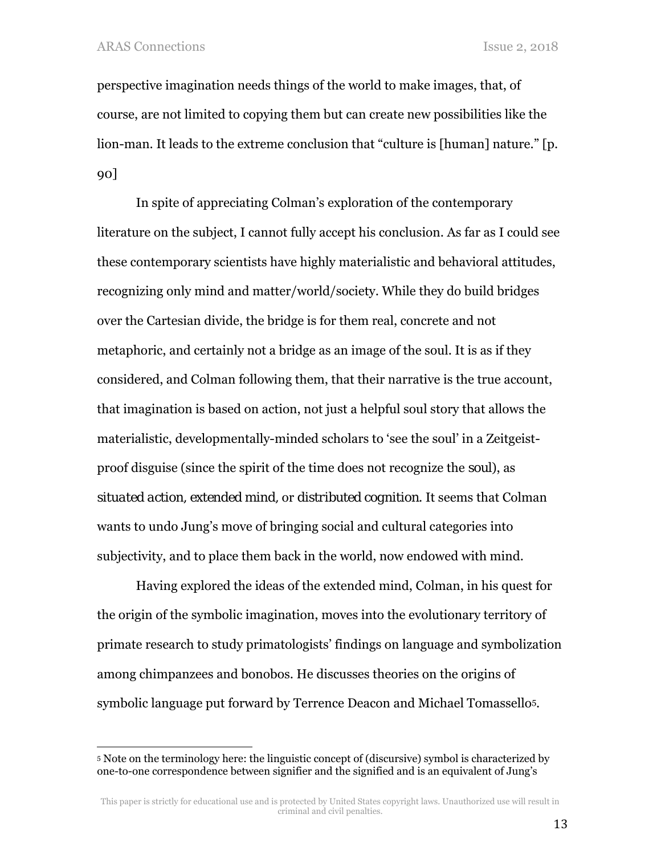1

perspective imagination needs things of the world to make images, that, of course, are not limited to copying them but can create new possibilities like the lion-man. It leads to the extreme conclusion that "culture is [human] nature." [p. 90]

In spite of appreciating Colman's exploration of the contemporary literature on the subject, I cannot fully accept his conclusion. As far as I could see these contemporary scientists have highly materialistic and behavioral attitudes, recognizing only mind and matter/world/society. While they do build bridges over the Cartesian divide, the bridge is for them real, concrete and not metaphoric, and certainly not a bridge as an image of the soul. It is as if they considered, and Colman following them, that their narrative is the true account, that imagination is based on action, not just a helpful soul story that allows the materialistic, developmentally-minded scholars to 'see the soul' in a Zeitgeistproof disguise (since the spirit of the time does not recognize the *soul*), as *situated action, extended mind,* or *distributed cognition*. It seems that Colman wants to undo Jung's move of bringing social and cultural categories into subjectivity, and to place them back in the world, now endowed with mind.

Having explored the ideas of the extended mind, Colman, in his quest for the origin of the symbolic imagination, moves into the evolutionary territory of primate research to study primatologists' findings on language and symbolization among chimpanzees and bonobos. He discusses theories on the origins of symbolic language put forward by Terrence Deacon and Michael Tomassello5.

<sup>5</sup> Note on the terminology here: the linguistic concept of (discursive) symbol is characterized by one-to-one correspondence between signifier and the signified and is an equivalent of Jung's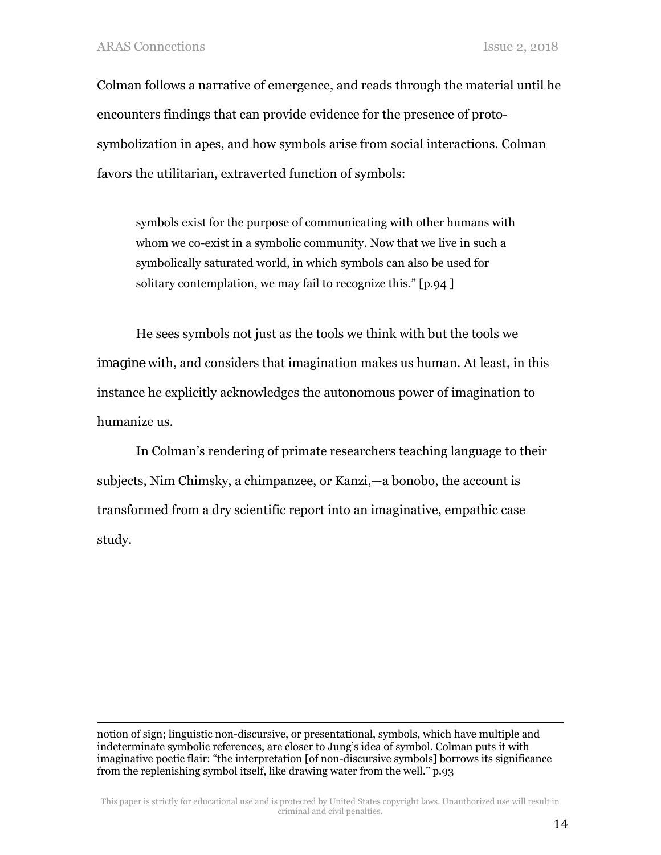$\overline{a}$ 

Colman follows a narrative of emergence, and reads through the material until he encounters findings that can provide evidence for the presence of protosymbolization in apes, and how symbols arise from social interactions. Colman favors the utilitarian, extraverted function of symbols:

symbols exist for the purpose of communicating with other humans with whom we co-exist in a symbolic community. Now that we live in such a symbolically saturated world, in which symbols can also be used for solitary contemplation, we may fail to recognize this." [p.94 ]

He sees symbols not just as the tools we think with but the tools we *imagine* with, and considers that imagination makes us human. At least, in this instance he explicitly acknowledges the autonomous power of imagination to humanize us.

In Colman's rendering of primate researchers teaching language to their subjects, Nim Chimsky, a chimpanzee, or Kanzi,—a bonobo, the account is transformed from a dry scientific report into an imaginative, empathic case study.

notion of sign; linguistic non-discursive, or presentational, symbols, which have multiple and indeterminate symbolic references, are closer to Jung's idea of symbol. Colman puts it with imaginative poetic flair: "the interpretation [of non-discursive symbols] borrows its significance from the replenishing symbol itself, like drawing water from the well." p.93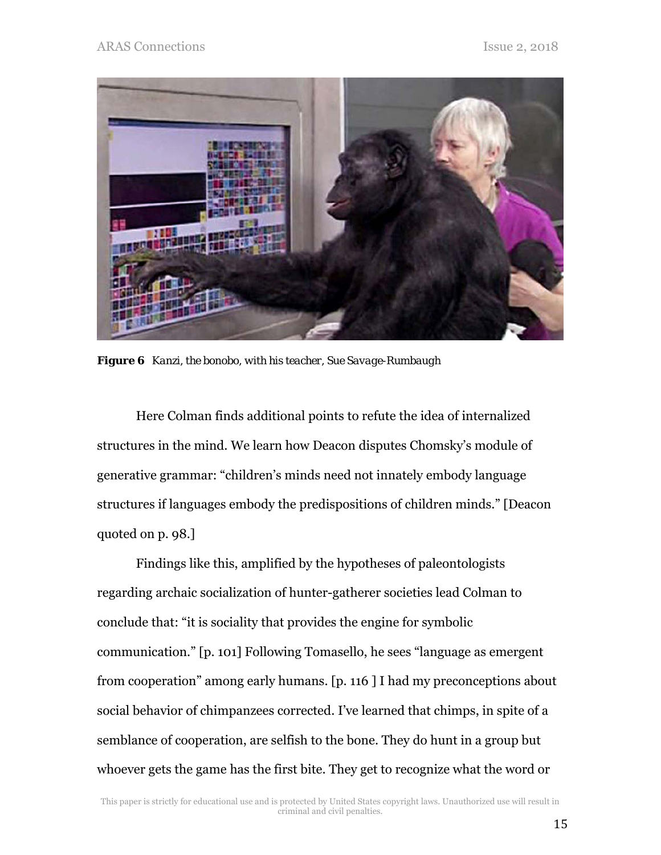

*Figure 6 Kanzi, the bonobo, with his teacher, Sue Savage-Rumbaugh* 

Here Colman finds additional points to refute the idea of internalized structures in the mind. We learn how Deacon disputes Chomsky's module of generative grammar: "children's minds need not innately embody language structures if languages embody the predispositions of children minds." [Deacon quoted on p. 98.]

Findings like this, amplified by the hypotheses of paleontologists regarding archaic socialization of hunter-gatherer societies lead Colman to conclude that: "it is sociality that provides the engine for symbolic communication." [p. 101] Following Tomasello, he sees "language as emergent from cooperation" among early humans. [p. 116 ] I had my preconceptions about social behavior of chimpanzees corrected. I've learned that chimps, in spite of a semblance of cooperation, are selfish to the bone. They do hunt in a group but whoever gets the game has the first bite. They get to recognize what the word or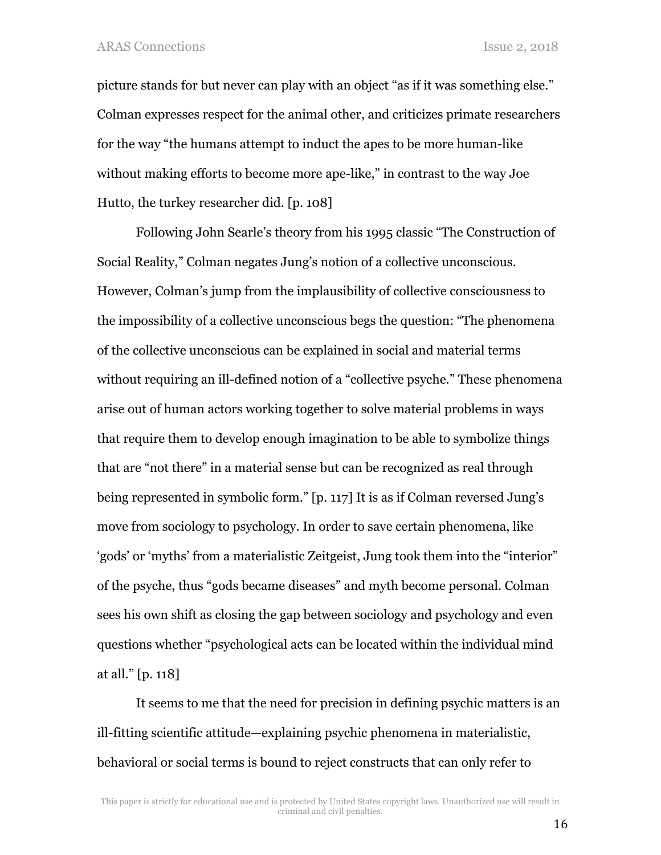ARAS Connections Issue 2, 2018

picture stands for but never can play with an object "as if it was something else." Colman expresses respect for the animal other, and criticizes primate researchers for the way "the humans attempt to induct the apes to be more human-like without making efforts to become more ape-like," in contrast to the way Joe Hutto, the turkey researcher did. [p. 108]

Following John Searle's theory from his 1995 classic "The Construction of Social Reality," Colman negates Jung's notion of a collective unconscious. However, Colman's jump from the implausibility of collective consciousness to the impossibility of a collective unconscious begs the question: "The phenomena of the collective unconscious can be explained in social and material terms without requiring an ill-defined notion of a "collective psyche." These phenomena arise out of human actors working together to solve material problems in ways that require them to develop enough imagination to be able to symbolize things that are "not there" in a material sense but can be recognized as real through being represented in symbolic form." [p. 117] It is as if Colman reversed Jung's move from sociology to psychology. In order to save certain phenomena, like 'gods' or 'myths' from a materialistic Zeitgeist, Jung took them into the "interior" of the psyche, thus "gods became diseases" and myth become personal. Colman sees his own shift as closing the gap between sociology and psychology and even questions whether "psychological acts can be located within the individual mind at all." [p. 118]

It seems to me that the need for precision in defining psychic matters is an ill-fitting scientific attitude—explaining psychic phenomena in materialistic, behavioral or social terms is bound to reject constructs that can only refer to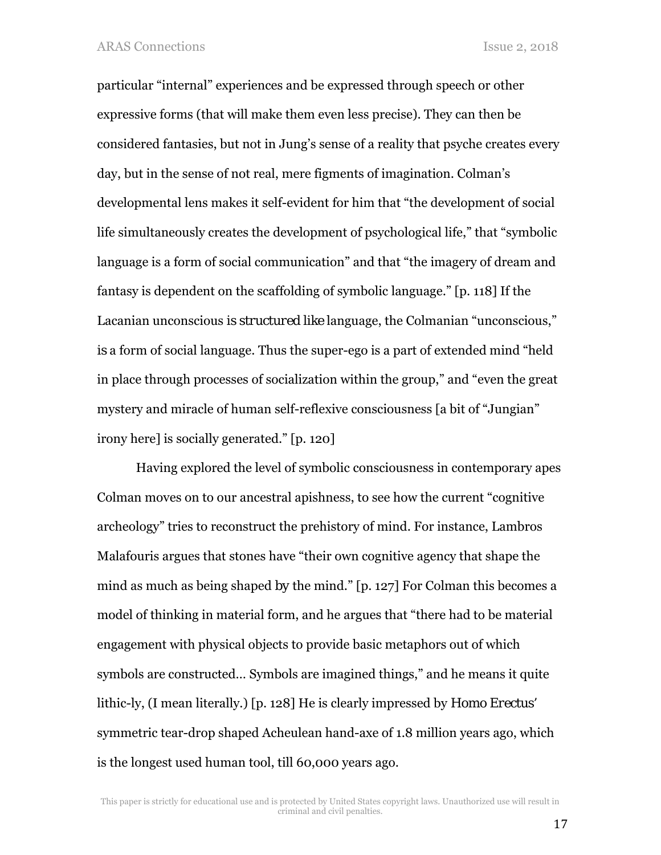particular "internal" experiences and be expressed through speech or other expressive forms (that will make them even less precise). They can then be considered fantasies, but not in Jung's sense of a reality that psyche creates every day, but in the sense of not real, mere figments of imagination. Colman's developmental lens makes it self-evident for him that "the development of social life simultaneously creates the development of psychological life," that "symbolic language is a form of social communication" and that "the imagery of dream and fantasy is dependent on the scaffolding of symbolic language." [p. 118] If the Lacanian unconscious *is structured like* language, the Colmanian "unconscious," *is* a form of social language. Thus the super-ego is a part of extended mind "held in place through processes of socialization within the group," and "even the great mystery and miracle of human self-reflexive consciousness [a bit of "Jungian" irony here] is socially generated." [p. 120]

Having explored the level of symbolic consciousness in contemporary apes Colman moves on to our ancestral apishness, to see how the current "cognitive archeology" tries to reconstruct the prehistory of mind. For instance, Lambros Malafouris argues that stones have "their own cognitive agency that shape the mind as much as being shaped *by* the mind." [p. 127] For Colman this becomes a model of thinking in material form, and he argues that "there had to be material engagement with physical objects to provide basic metaphors out of which symbols are constructed… Symbols are imagined things," and he means it quite lithic-ly, (I mean literally.) [p. 128] He is clearly impressed by *Homo Erectus'*  symmetric tear-drop shaped Acheulean hand-axe of 1.8 million years ago, which is the longest used human tool, till 60,000 years ago.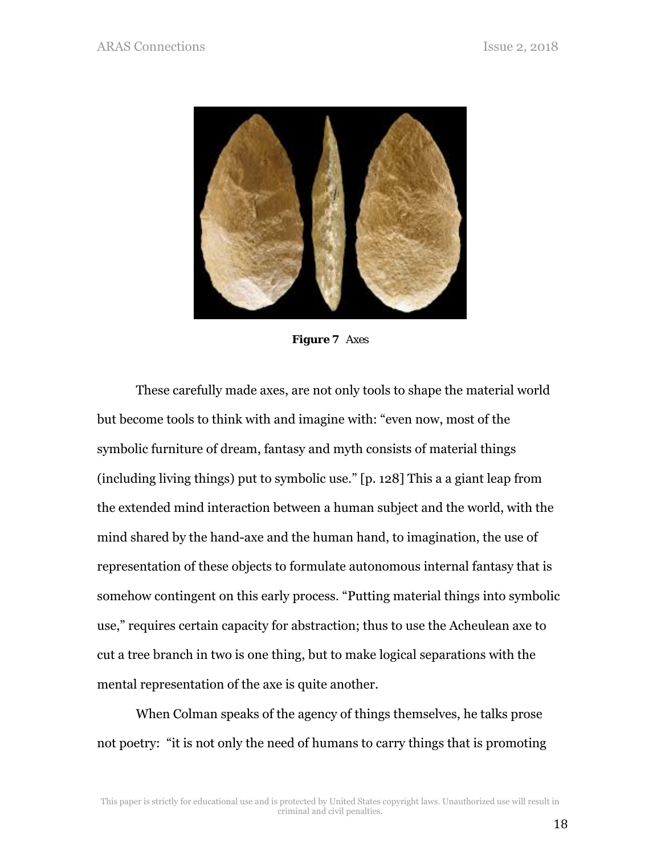

*Figure 7 Axes* 

These carefully made axes, are not only tools to shape the material world but become tools to think with and imagine with: "even now, most of the symbolic furniture of dream, fantasy and myth consists of material things (including living things) put to symbolic use." [p. 128] This a a giant leap from the extended mind interaction between a human subject and the world, with the mind shared by the hand-axe and the human hand, to imagination, the use of representation of these objects to formulate autonomous internal fantasy that is somehow contingent on this early process. "Putting material things into symbolic use," requires certain capacity for abstraction; thus to use the Acheulean axe to cut a tree branch in two is one thing, but to make logical separations with the mental representation of the axe is quite another.

When Colman speaks of the agency of things themselves, he talks prose not poetry: "it is not only the need of humans to carry things that is promoting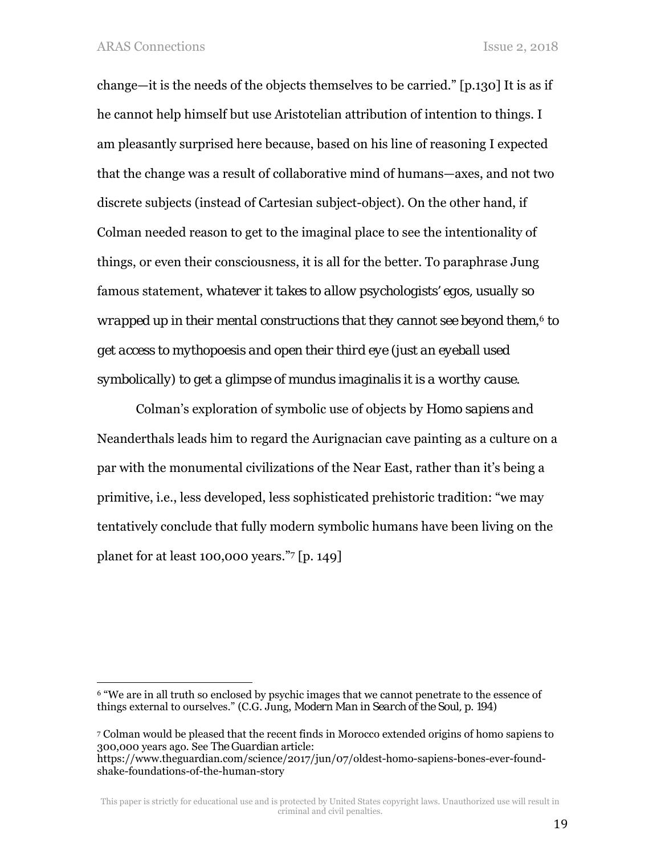1

change—it is the needs of the objects themselves to be carried." [p.130] It is as if he cannot help himself but use Aristotelian attribution of intention to things. I am pleasantly surprised here because, based on his line of reasoning I expected that the change was a result of collaborative mind of humans—axes, and not two discrete subjects (instead of Cartesian subject-object). On the other hand, if Colman needed reason to get to the imaginal place to see the intentionality of things, or even their consciousness, it is all for the better. To paraphrase Jung famous statement, *whatever it takes to allow psychologists' egos, usually so wrapped up in their mental constructions that they cannot see beyond them*,6 *to get access to mythopoesis and open their third eye (just an eyeball used symbolically) to get a glimpse of mundus imaginalis it is a worthy cause.* 

Colman's exploration of symbolic use of objects by *Homo sapiens* and Neanderthals leads him to regard the Aurignacian cave painting as a culture on a par with the monumental civilizations of the Near East, rather than it's being a primitive, i.e., less developed, less sophisticated prehistoric tradition: "we may tentatively conclude that fully modern symbolic humans have been living on the planet for at least 100,000 years."7 [p. 149]

<sup>&</sup>lt;sup>6</sup> "We are in all truth so enclosed by psychic images that we cannot penetrate to the essence of things external to ourselves." *(*C.G. Jung, *Modern Man in Search of the Soul, p. 194)* 

<sup>7</sup> Colman would be pleased that the recent finds in Morocco extended origins of homo sapiens to 300,000 years ago. See *The Guardian* article: https://www.theguardian.com/science/2017/jun/07/oldest-homo-sapiens-bones-ever-foundshake-foundations-of-the-human-story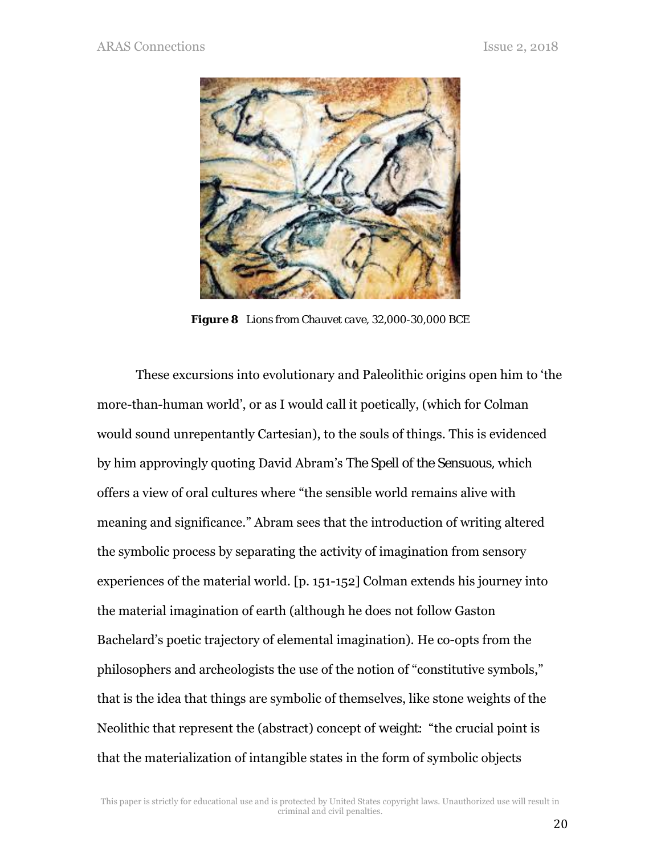

*Figure 8 Lions from Chauvet cave, 32,000-30,000 BCE* 

These excursions into evolutionary and Paleolithic origins open him to 'the more-than-human world', or as I would call it poetically, (which for Colman would sound unrepentantly Cartesian), to the souls of things. This is evidenced by him approvingly quoting David Abram's *The Spell of the Sensuous,* which offers a view of oral cultures where "the sensible world remains alive with meaning and significance." Abram sees that the introduction of writing altered the symbolic process by separating the activity of imagination from sensory experiences of the material world. [p. 151-152] Colman extends his journey into the material imagination of earth (although he does not follow Gaston Bachelard's poetic trajectory of elemental imagination). He co-opts from the philosophers and archeologists the use of the notion of "constitutive symbols," that is the idea that things are symbolic of themselves, like stone weights of the Neolithic that represent the (abstract) concept of *weight*: "the crucial point is that the materialization of intangible states in the form of symbolic objects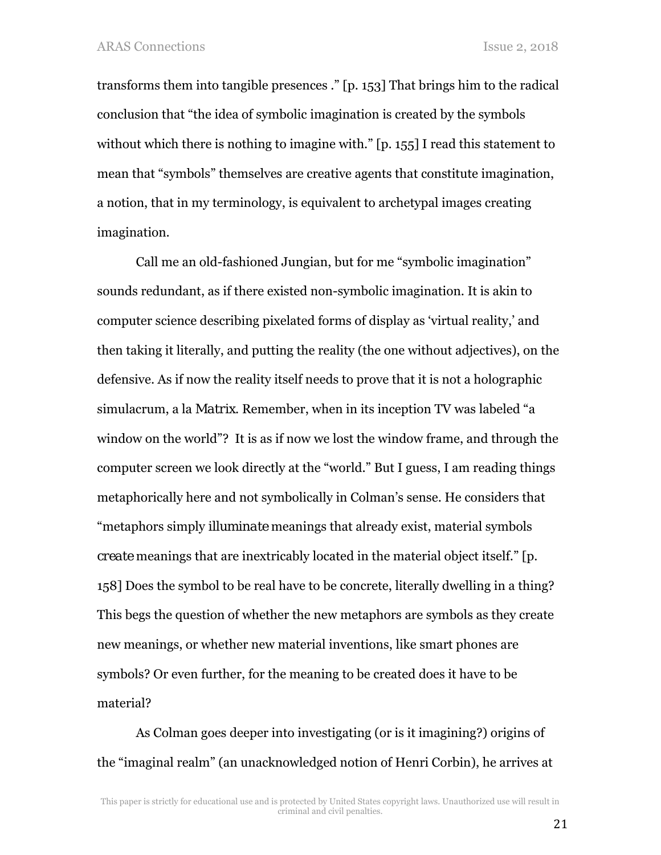transforms them into tangible presences ." [p. 153] That brings him to the radical conclusion that "the idea of symbolic imagination is created by the symbols without which there is nothing to imagine with." [p. 155] I read this statement to mean that "symbols" themselves are creative agents that constitute imagination, a notion, that in my terminology, is equivalent to archetypal images creating imagination.

Call me an old-fashioned Jungian, but for me "symbolic imagination" sounds redundant, as if there existed non-symbolic imagination. It is akin to computer science describing pixelated forms of display as 'virtual reality,' and then taking it literally, and putting the reality (the one without adjectives), on the defensive. As if now the reality itself needs to prove that it is not a holographic simulacrum, a la *Matrix*. Remember, when in its inception TV was labeled "a window on the world"? It is as if now we lost the window frame, and through the computer screen we look directly at the "world." But I guess, I am reading things metaphorically here and not symbolically in Colman's sense. He considers that "metaphors simply *illuminate* meanings that already exist, material symbols *create* meanings that are inextricably located in the material object itself." [p. 158] Does the symbol to be real have to be concrete, literally dwelling in a thing? This begs the question of whether the new metaphors are symbols as they create new meanings, or whether new material inventions, like smart phones are symbols? Or even further, for the meaning to be created does it have to be material?

As Colman goes deeper into investigating (or is it imagining?) origins of the "imaginal realm" (an unacknowledged notion of Henri Corbin), he arrives at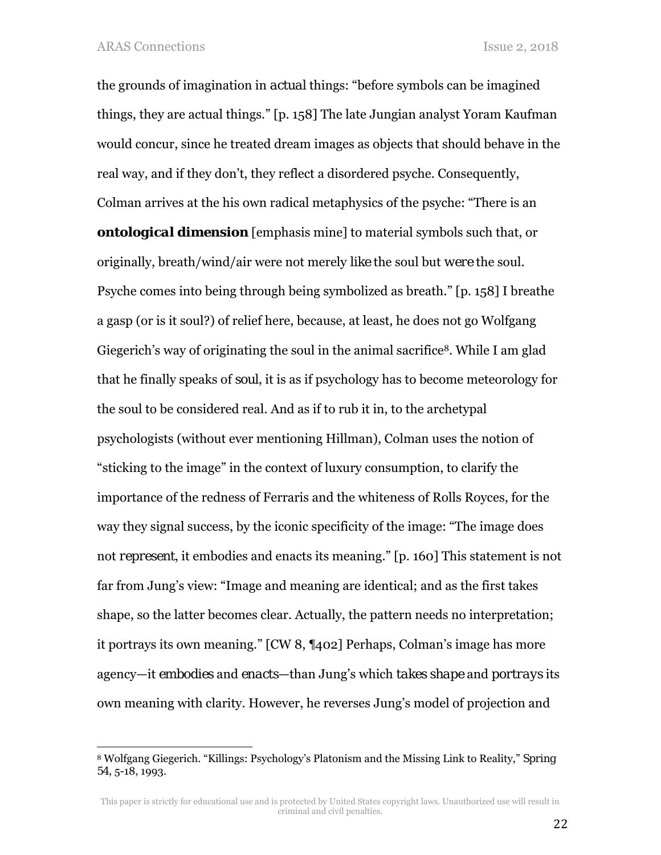$\overline{a}$ 

the grounds of imagination in *actual* things: "before symbols can be imagined things, they are actual things." [p. 158] The late Jungian analyst Yoram Kaufman would concur, since he treated dream images as objects that should behave in the real way, and if they don't, they reflect a disordered psyche. Consequently, Colman arrives at the his own radical metaphysics of the psyche: "There is an *ontological dimension* [emphasis mine] to material symbols such that, or originally, breath/wind/air were not merely *like* the soul but *were* the soul. Psyche comes into being through being symbolized as breath." [p. 158] I breathe a gasp (or is it soul?) of relief here, because, at least, he does not go Wolfgang Giegerich's way of originating the soul in the animal sacrifice<sup>8</sup>. While I am glad that he finally speaks of *soul*, it is as if psychology has to become meteorology for the soul to be considered real. And as if to rub it in, to the archetypal psychologists (without ever mentioning Hillman), Colman uses the notion of "sticking to the image" in the context of luxury consumption, to clarify the importance of the redness of Ferraris and the whiteness of Rolls Royces, for the way they signal success, by the iconic specificity of the image: "The image does not *represent*, it embodies and enacts its meaning." [p. 160] This statement is not far from Jung's view: "Image and meaning are identical; and as the first takes shape, so the latter becomes clear. Actually, the pattern needs no interpretation; it portrays its own meaning." [CW 8, ¶402] Perhaps, Colman's image has more agency—it *embodies* and *enacts*—than Jung's which *takes shape* and *portrays* its own meaning with clarity. However, he reverses Jung's model of projection and

<sup>8</sup> Wolfgang Giegerich. "Killings: Psychology's Platonism and the Missing Link to Reality," *Spring 54*, 5-18, 1993.

This paper is strictly for educational use and is protected by United States copyright laws. Unauthorized use will result in criminal and civil penalties.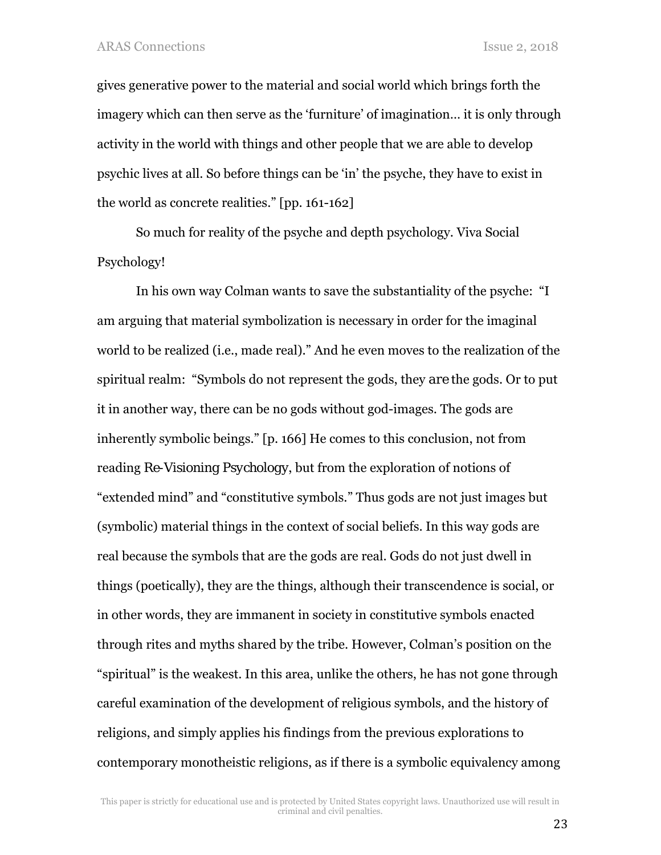gives generative power to the material and social world which brings forth the imagery which can then serve as the 'furniture' of imagination… it is only through activity in the world with things and other people that we are able to develop psychic lives at all. So before things can be 'in' the psyche, they have to exist in the world as concrete realities." [pp. 161-162]

So much for reality of the psyche and depth psychology. Viva Social Psychology!

In his own way Colman wants to save the substantiality of the psyche: "I am arguing that material symbolization is necessary in order for the imaginal world to be realized (i.e., made real)." And he even moves to the realization of the spiritual realm: "Symbols do not represent the gods, they *are* the gods. Or to put it in another way, there can be no gods without god-images. The gods are inherently symbolic beings." [p. 166] He comes to this conclusion, not from reading *Re-Visioning Psychology*, but from the exploration of notions of "extended mind" and "constitutive symbols." Thus gods are not just images but (symbolic) material things in the context of social beliefs. In this way gods are real because the symbols that are the gods are real. Gods do not just dwell in things (poetically), they are the things, although their transcendence is social, or in other words, they are immanent in society in constitutive symbols enacted through rites and myths shared by the tribe. However, Colman's position on the "spiritual" is the weakest. In this area, unlike the others, he has not gone through careful examination of the development of religious symbols, and the history of religions, and simply applies his findings from the previous explorations to contemporary monotheistic religions, as if there is a symbolic equivalency among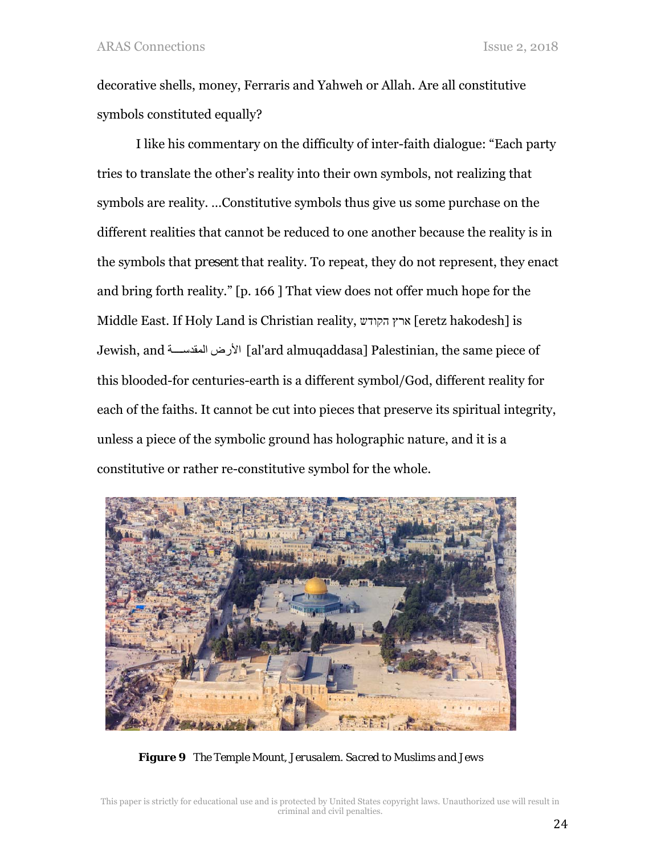decorative shells, money, Ferraris and Yahweh or Allah. Are all constitutive symbols constituted equally?

I like his commentary on the difficulty of inter-faith dialogue: "Each party tries to translate the other's reality into their own symbols, not realizing that symbols are reality. …Constitutive symbols thus give us some purchase on the different realities that cannot be reduced to one another because the reality is in the symbols that *present* that reality. To repeat, they do not represent, they enact and bring forth reality." [p. 166 ] That view does not offer much hope for the Middle East. If Holy Land is Christian reality, ארץ הקודש [eretz hakodesh] is Jewish, and ةѧѧѧѧѧѧالمقدس األرض] al'ard almuqaddasa] Palestinian, the same piece of this blooded-for centuries-earth is a different symbol/God, different reality for each of the faiths. It cannot be cut into pieces that preserve its spiritual integrity, unless a piece of the symbolic ground has holographic nature, and it is a constitutive or rather re-constitutive symbol for the whole.



*Figure 9 The Temple Mount, Jerusalem. Sacred to Muslims and Jews*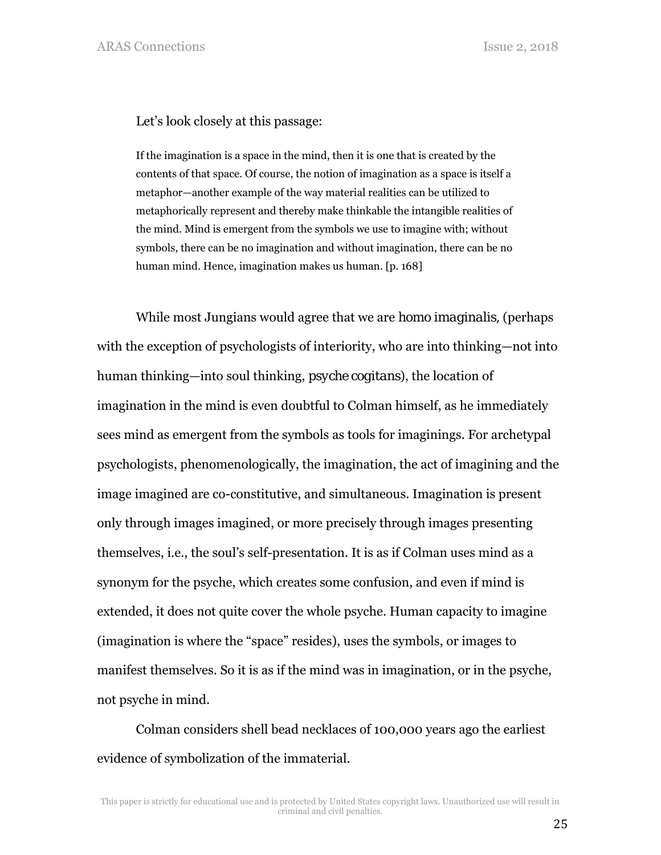Let's look closely at this passage:

If the imagination is a space in the mind, then it is one that is created by the contents of that space. Of course, the notion of imagination as a space is itself a metaphor—another example of the way material realities can be utilized to metaphorically represent and thereby make thinkable the intangible realities of the mind. Mind is emergent from the symbols we use to imagine with; without symbols, there can be no imagination and without imagination, there can be no human mind. Hence, imagination makes us human. [p. 168]

While most Jungians would agree that we are *homo imaginalis,* (perhaps with the exception of psychologists of interiority, who are into thinking—not into human thinking—into soul thinking, *psyche cogitans*), the location of imagination in the mind is even doubtful to Colman himself, as he immediately sees mind as emergent from the symbols as tools for imaginings. For archetypal psychologists, phenomenologically, the imagination, the act of imagining and the image imagined are co-constitutive, and simultaneous. Imagination is present only through images imagined, or more precisely through images presenting themselves, i.e., the soul's self-presentation. It is as if Colman uses mind as a synonym for the psyche, which creates some confusion, and even if mind is extended, it does not quite cover the whole psyche. Human capacity to imagine (imagination is where the "space" resides), uses the symbols, or images to manifest themselves. So it is as if the mind was in imagination, or in the psyche, not psyche in mind.

Colman considers shell bead necklaces of 100,000 years ago the earliest evidence of symbolization of the immaterial.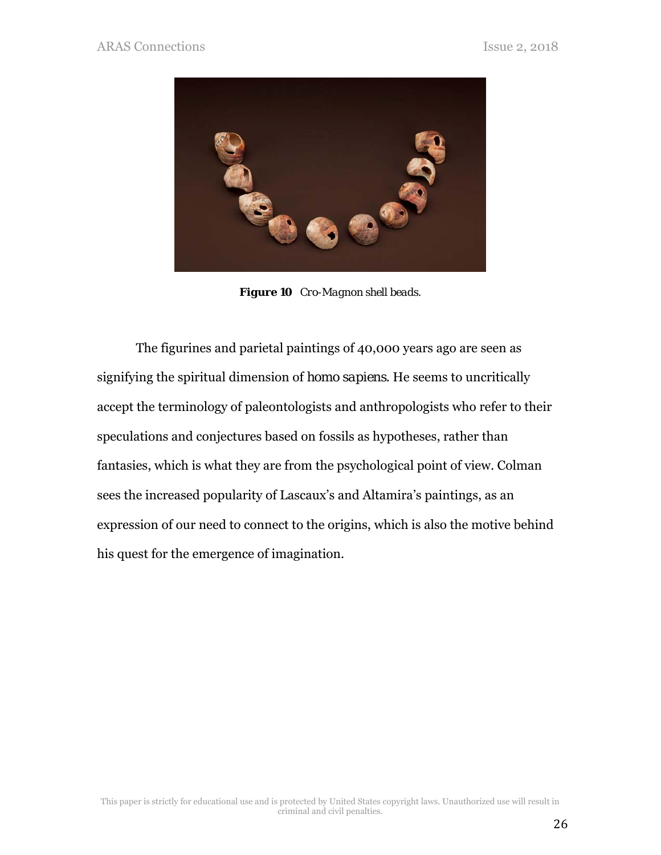

*Figure 10 Cro-Magnon shell beads.* 

The figurines and parietal paintings of 40,000 years ago are seen as signifying the spiritual dimension of *homo sapiens*. He seems to uncritically accept the terminology of paleontologists and anthropologists who refer to their speculations and conjectures based on fossils as hypotheses, rather than fantasies, which is what they are from the psychological point of view. Colman sees the increased popularity of Lascaux's and Altamira's paintings, as an expression of our need to connect to the origins, which is also the motive behind his quest for the emergence of imagination.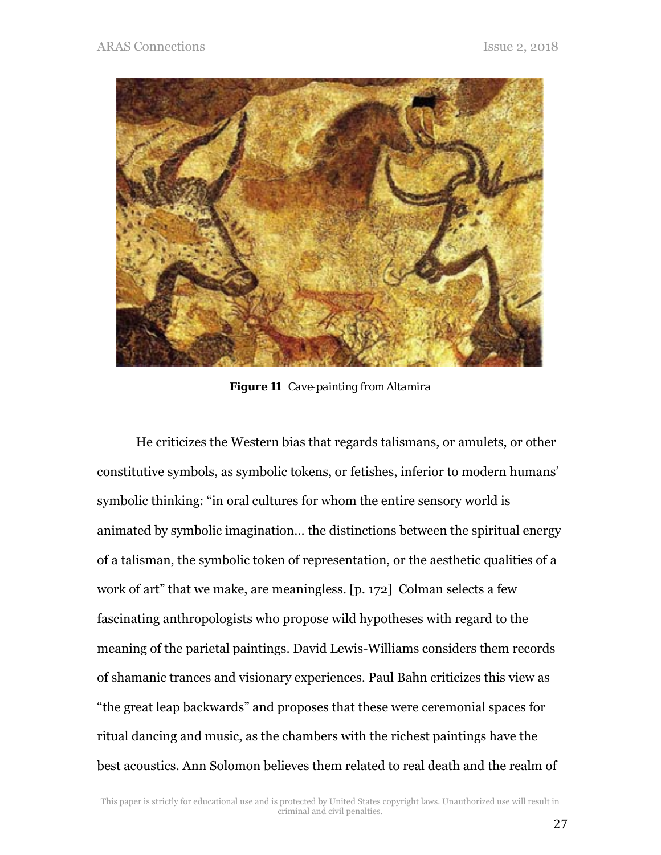

*Figure 11 Cave-painting from Altamira* 

He criticizes the Western bias that regards talismans, or amulets, or other constitutive symbols, as symbolic tokens, or fetishes, inferior to modern humans' symbolic thinking: "in oral cultures for whom the entire sensory world is animated by symbolic imagination… the distinctions between the spiritual energy of a talisman, the symbolic token of representation, or the aesthetic qualities of a work of art" that we make, are meaningless. [p. 172] Colman selects a few fascinating anthropologists who propose wild hypotheses with regard to the meaning of the parietal paintings. David Lewis-Williams considers them records of shamanic trances and visionary experiences. Paul Bahn criticizes this view as "the great leap backwards" and proposes that these were ceremonial spaces for ritual dancing and music, as the chambers with the richest paintings have the best acoustics. Ann Solomon believes them related to real death and the realm of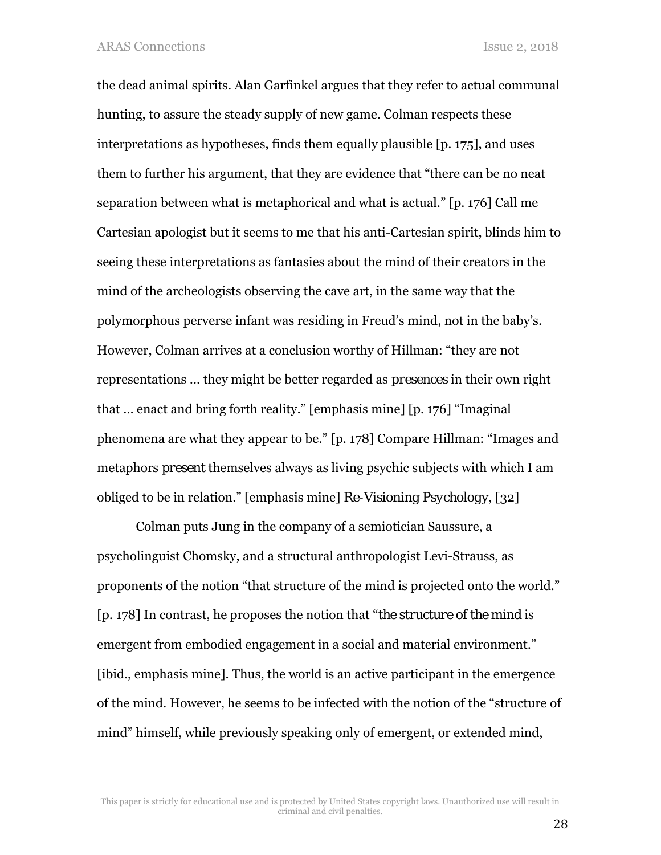the dead animal spirits. Alan Garfinkel argues that they refer to actual communal hunting, to assure the steady supply of new game. Colman respects these interpretations as hypotheses, finds them equally plausible [p. 175], and uses them to further his argument, that they are evidence that "there can be no neat separation between what is metaphorical and what is actual." [p. 176] Call me Cartesian apologist but it seems to me that his anti-Cartesian spirit, blinds him to seeing these interpretations as fantasies about the mind of their creators in the mind of the archeologists observing the cave art, in the same way that the polymorphous perverse infant was residing in Freud's mind, not in the baby's. However, Colman arrives at a conclusion worthy of Hillman: "they are not representations … they might be better regarded as *presences* in their own right that … enact and bring forth reality." [emphasis mine] [p. 176] "Imaginal phenomena are what they appear to be." [p. 178] Compare Hillman: "Images and metaphors *present* themselves always as living psychic subjects with which I am obliged to be in relation." [emphasis mine] *Re-Visioning Psychology*, [32]

Colman puts Jung in the company of a semiotician Saussure, a psycholinguist Chomsky, and a structural anthropologist Levi-Strauss, as proponents of the notion "that structure of the mind is projected onto the world." [p. 178] In contrast, he proposes the notion that "*the structure of the mind* is emergent from embodied engagement in a social and material environment." [ibid., emphasis mine]. Thus, the world is an active participant in the emergence of the mind. However, he seems to be infected with the notion of the "structure of mind" himself, while previously speaking only of emergent, or extended mind,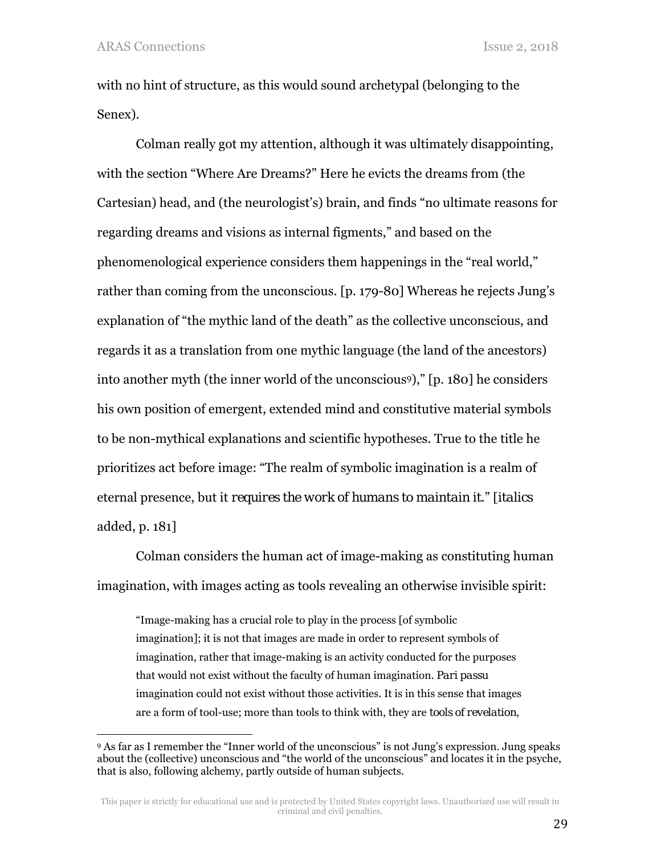l

with no hint of structure, as this would sound archetypal (belonging to the Senex).

Colman really got my attention, although it was ultimately disappointing, with the section "Where Are Dreams?" Here he evicts the dreams from (the Cartesian) head, and (the neurologist's) brain, and finds "no ultimate reasons for regarding dreams and visions as internal figments," and based on the phenomenological experience considers them happenings in the "real world," rather than coming from the unconscious. [p. 179-80] Whereas he rejects Jung's explanation of "the mythic land of the death" as the collective unconscious, and regards it as a translation from one mythic language (the land of the ancestors) into another myth (the inner world of the unconscious9)," [p. 180] he considers his own position of emergent, extended mind and constitutive material symbols to be non-mythical explanations and scientific hypotheses. True to the title he prioritizes act before image: "The realm of symbolic imagination is a realm of eternal presence, but it *requires the work of humans to maintain it*." [*italics* added, p. 181]

Colman considers the human act of image-making as constituting human imagination, with images acting as tools revealing an otherwise invisible spirit:

"Image-making has a crucial role to play in the process [of symbolic imagination]; it is not that images are made in order to represent symbols of imagination, rather that image-making is an activity conducted for the purposes that would not exist without the faculty of human imagination. *Pari passu* imagination could not exist without those activities. It is in this sense that images are a form of tool-use; more than tools to think with, they are *tools of revelation*,

<sup>9</sup> As far as I remember the "Inner world of the unconscious" is not Jung's expression. Jung speaks about the (collective) unconscious and "the world of the unconscious" and locates it in the psyche, that is also, following alchemy, partly outside of human subjects.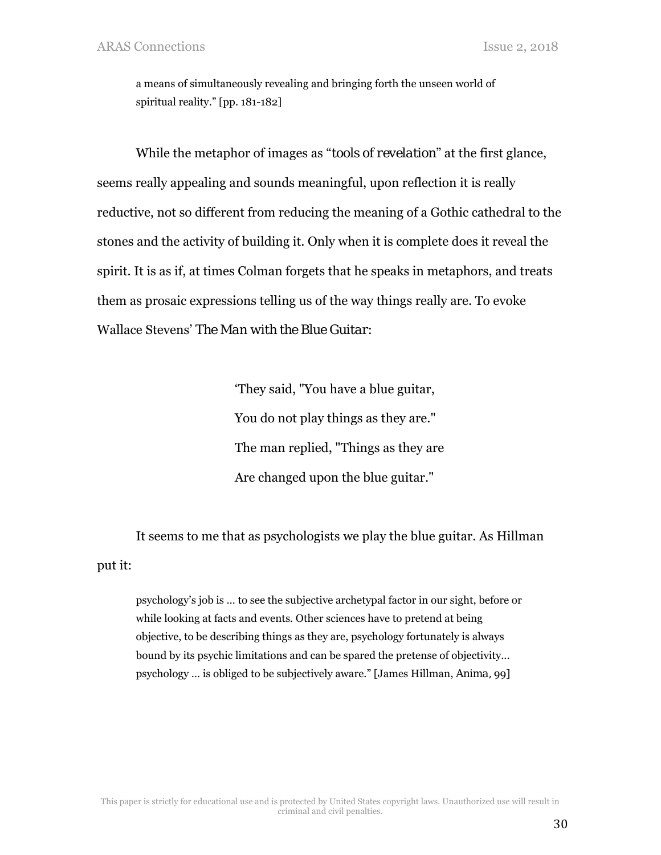a means of simultaneously revealing and bringing forth the unseen world of spiritual reality." [pp. 181-182]

While the metaphor of images as "*tools of revelation*" at the first glance, seems really appealing and sounds meaningful, upon reflection it is really reductive, not so different from reducing the meaning of a Gothic cathedral to the stones and the activity of building it. Only when it is complete does it reveal the spirit. It is as if, at times Colman forgets that he speaks in metaphors, and treats them as prosaic expressions telling us of the way things really are. To evoke Wallace Stevens' *The Man with the Blue Guitar*:

> 'They said, "You have a blue guitar, You do not play things as they are." The man replied, "Things as they are Are changed upon the blue guitar."

It seems to me that as psychologists we play the blue guitar. As Hillman put it:

psychology's job is … to see the subjective archetypal factor in our sight, before or while looking at facts and events. Other sciences have to pretend at being objective, to be describing things as they are, psychology fortunately is always bound by its psychic limitations and can be spared the pretense of objectivity... psychology … is obliged to be subjectively aware." [James Hillman, *Anima,* 99]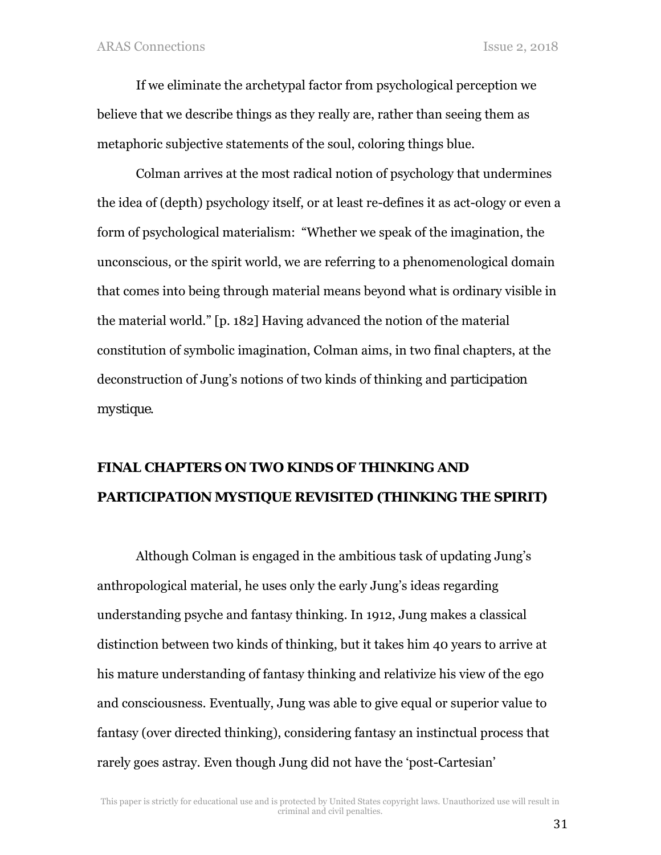If we eliminate the archetypal factor from psychological perception we believe that we describe things as they really are, rather than seeing them as metaphoric subjective statements of the soul, coloring things blue.

Colman arrives at the most radical notion of psychology that undermines the idea of (depth) psychology itself, or at least re-defines it as act-ology or even a form of psychological materialism: "Whether we speak of the imagination, the unconscious, or the spirit world, we are referring to a phenomenological domain that comes into being through material means beyond what is ordinary visible in the material world." [p. 182] Having advanced the notion of the material constitution of symbolic imagination, Colman aims, in two final chapters, at the deconstruction of Jung's notions of two kinds of thinking and *participation mystique*.

## **FINAL CHAPTERS ON TWO KINDS OF THINKING AND**  *PARTICIPATION MYSTIQUE* **REVISITED (THINKING THE SPIRIT)**

Although Colman is engaged in the ambitious task of updating Jung's anthropological material, he uses only the early Jung's ideas regarding understanding psyche and fantasy thinking. In 1912, Jung makes a classical distinction between two kinds of thinking, but it takes him 40 years to arrive at his mature understanding of fantasy thinking and relativize his view of the ego and consciousness. Eventually, Jung was able to give equal or superior value to fantasy (over directed thinking), considering fantasy an instinctual process that rarely goes astray. Even though Jung did not have the 'post-Cartesian'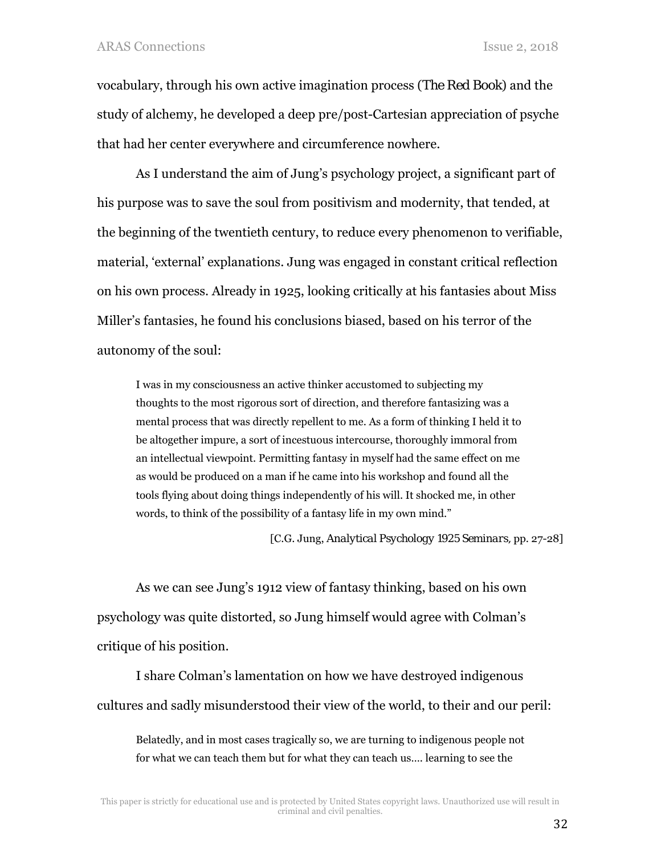vocabulary, through his own active imagination process (*The Red Book*) and the study of alchemy, he developed a deep pre/post-Cartesian appreciation of psyche that had her center everywhere and circumference nowhere.

As I understand the aim of Jung's psychology project, a significant part of his purpose was to save the soul from positivism and modernity, that tended, at the beginning of the twentieth century, to reduce every phenomenon to verifiable, material, 'external' explanations. Jung was engaged in constant critical reflection on his own process. Already in 1925, looking critically at his fantasies about Miss Miller's fantasies, he found his conclusions biased, based on his terror of the autonomy of the soul:

I was in my consciousness an active thinker accustomed to subjecting my thoughts to the most rigorous sort of direction, and therefore fantasizing was a mental process that was directly repellent to me. As a form of thinking I held it to be altogether impure, a sort of incestuous intercourse, thoroughly immoral from an intellectual viewpoint. Permitting fantasy in myself had the same effect on me as would be produced on a man if he came into his workshop and found all the tools flying about doing things independently of his will. It shocked me, in other words, to think of the possibility of a fantasy life in my own mind."

[C.G. Jung, *Analytical Psychology 1925 Seminars,* pp. 27-28]

As we can see Jung's 1912 view of fantasy thinking, based on his own psychology was quite distorted, so Jung himself would agree with Colman's critique of his position.

I share Colman's lamentation on how we have destroyed indigenous cultures and sadly misunderstood their view of the world, to their and our peril:

Belatedly, and in most cases tragically so, we are turning to indigenous people not for what we can teach them but for what they can teach us…. learning to see the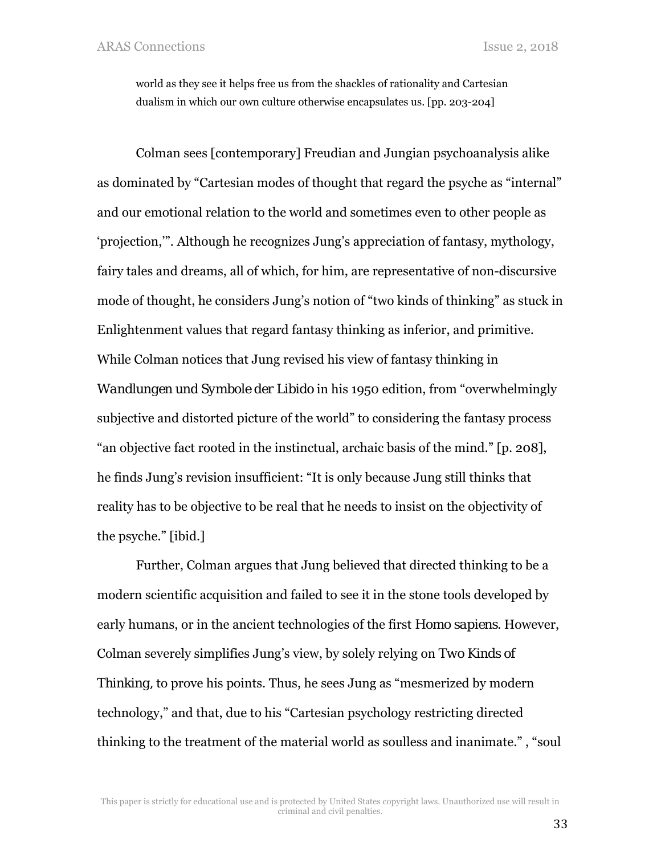world as they see it helps free us from the shackles of rationality and Cartesian dualism in which our own culture otherwise encapsulates us. [pp. 203-204]

Colman sees [contemporary] Freudian and Jungian psychoanalysis alike as dominated by "Cartesian modes of thought that regard the psyche as "internal" and our emotional relation to the world and sometimes even to other people as 'projection,'". Although he recognizes Jung's appreciation of fantasy, mythology, fairy tales and dreams, all of which, for him, are representative of non-discursive mode of thought, he considers Jung's notion of "two kinds of thinking" as stuck in Enlightenment values that regard fantasy thinking as inferior, and primitive. While Colman notices that Jung revised his view of fantasy thinking in *Wandlungen und Symbole der Libido* in his 1950 edition, from "overwhelmingly subjective and distorted picture of the world" to considering the fantasy process "an objective fact rooted in the instinctual, archaic basis of the mind." [p. 208], he finds Jung's revision insufficient: "It is only because Jung still thinks that reality has to be objective to be real that he needs to insist on the objectivity of the psyche." [ibid.]

Further, Colman argues that Jung believed that directed thinking to be a modern scientific acquisition and failed to see it in the stone tools developed by early humans, or in the ancient technologies of the first *Homo sapiens*. However, Colman severely simplifies Jung's view, by solely relying on *Two Kinds of Thinking*, to prove his points. Thus, he sees Jung as "mesmerized by modern" technology," and that, due to his "Cartesian psychology restricting directed thinking to the treatment of the material world as soulless and inanimate." , "soul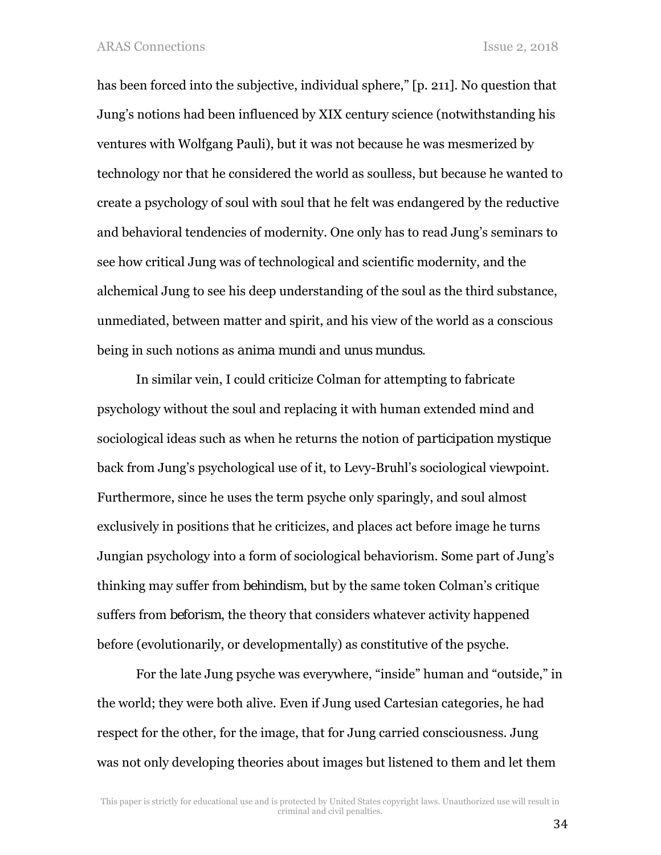has been forced into the subjective, individual sphere," [p. 211]. No question that Jung's notions had been influenced by XIX century science (notwithstanding his ventures with Wolfgang Pauli), but it was not because he was mesmerized by technology nor that he considered the world as soulless, but because he wanted to create a psychology of soul with soul that he felt was endangered by the reductive and behavioral tendencies of modernity. One only has to read Jung's seminars to see how critical Jung was of technological and scientific modernity, and the alchemical Jung to see his deep understanding of the soul as the third substance, unmediated, between matter and spirit, and his view of the world as a conscious being in such notions as *anima mundi* and *unus mundus*.

In similar vein, I could criticize Colman for attempting to fabricate psychology without the soul and replacing it with human extended mind and sociological ideas such as when he returns the notion of *participation mystique* back from Jung's psychological use of it, to Levy-Bruhl's sociological viewpoint. Furthermore, since he uses the term psyche only sparingly, and soul almost exclusively in positions that he criticizes, and places act before image he turns Jungian psychology into a form of sociological behaviorism. Some part of Jung's thinking may suffer from *behindism*, but by the same token Colman's critique suffers from *beforism*, the theory that considers whatever activity happened before (evolutionarily, or developmentally) as constitutive of the psyche.

For the late Jung psyche was everywhere, "inside" human and "outside," in the world; they were both alive. Even if Jung used Cartesian categories, he had respect for the other, for the image, that for Jung carried consciousness. Jung was not only developing theories about images but listened to them and let them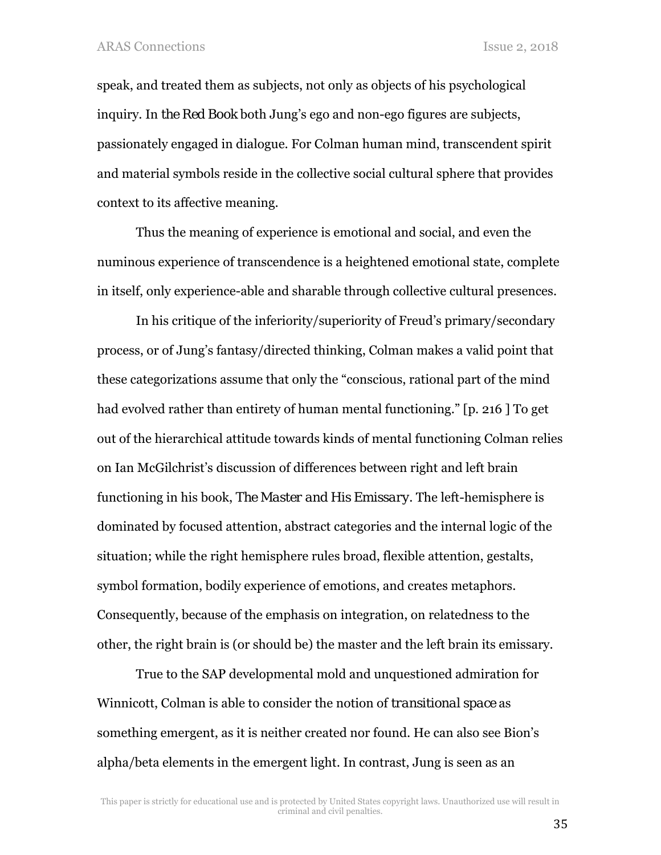speak, and treated them as subjects, not only as objects of his psychological inquiry. In *the Red Book* both Jung's ego and non-ego figures are subjects, passionately engaged in dialogue. For Colman human mind, transcendent spirit and material symbols reside in the collective social cultural sphere that provides context to its affective meaning.

Thus the meaning of experience is emotional and social, and even the numinous experience of transcendence is a heightened emotional state, complete in itself, only experience-able and sharable through collective cultural presences.

In his critique of the inferiority/superiority of Freud's primary/secondary process, or of Jung's fantasy/directed thinking, Colman makes a valid point that these categorizations assume that only the "conscious, rational part of the mind had evolved rather than entirety of human mental functioning." [p. 216 ] To get out of the hierarchical attitude towards kinds of mental functioning Colman relies on Ian McGilchrist's discussion of differences between right and left brain functioning in his book, *The Master and His Emissary*. The left-hemisphere is dominated by focused attention, abstract categories and the internal logic of the situation; while the right hemisphere rules broad, flexible attention, gestalts, symbol formation, bodily experience of emotions, and creates metaphors. Consequently, because of the emphasis on integration, on relatedness to the other, the right brain is (or should be) the master and the left brain its emissary.

True to the SAP developmental mold and unquestioned admiration for Winnicott, Colman is able to consider the notion of *transitional space* as something emergent, as it is neither created nor found. He can also see Bion's alpha/beta elements in the emergent light. In contrast, Jung is seen as an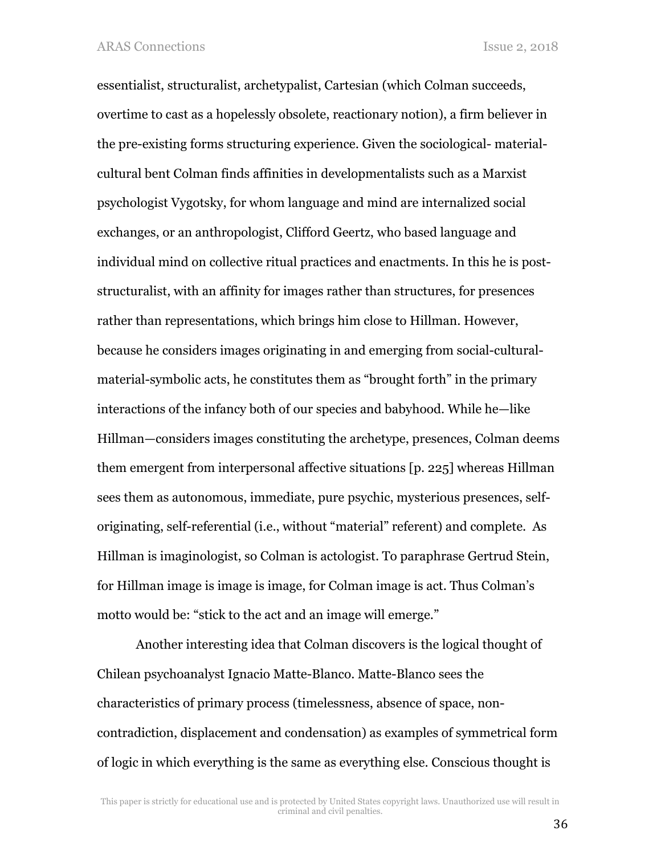essentialist, structuralist, archetypalist, Cartesian (which Colman succeeds, overtime to cast as a hopelessly obsolete, reactionary notion), a firm believer in the pre-existing forms structuring experience. Given the sociological- materialcultural bent Colman finds affinities in developmentalists such as a Marxist psychologist Vygotsky, for whom language and mind are internalized social exchanges, or an anthropologist, Clifford Geertz, who based language and individual mind on collective ritual practices and enactments. In this he is poststructuralist, with an affinity for images rather than structures, for presences rather than representations, which brings him close to Hillman. However, because he considers images originating in and emerging from social-culturalmaterial-symbolic acts, he constitutes them as "brought forth" in the primary interactions of the infancy both of our species and babyhood. While he—like Hillman—considers images constituting the archetype, presences, Colman deems them emergent from interpersonal affective situations [p. 225] whereas Hillman sees them as autonomous, immediate, pure psychic, mysterious presences, selforiginating, self-referential (i.e., without "material" referent) and complete. As Hillman is imaginologist, so Colman is actologist. To paraphrase Gertrud Stein, for Hillman image is image is image, for Colman image is act. Thus Colman's motto would be: "stick to the act and an image will emerge."

Another interesting idea that Colman discovers is the logical thought of Chilean psychoanalyst Ignacio Matte-Blanco. Matte-Blanco sees the characteristics of primary process (timelessness, absence of space, noncontradiction, displacement and condensation) as examples of symmetrical form of logic in which everything is the same as everything else. Conscious thought is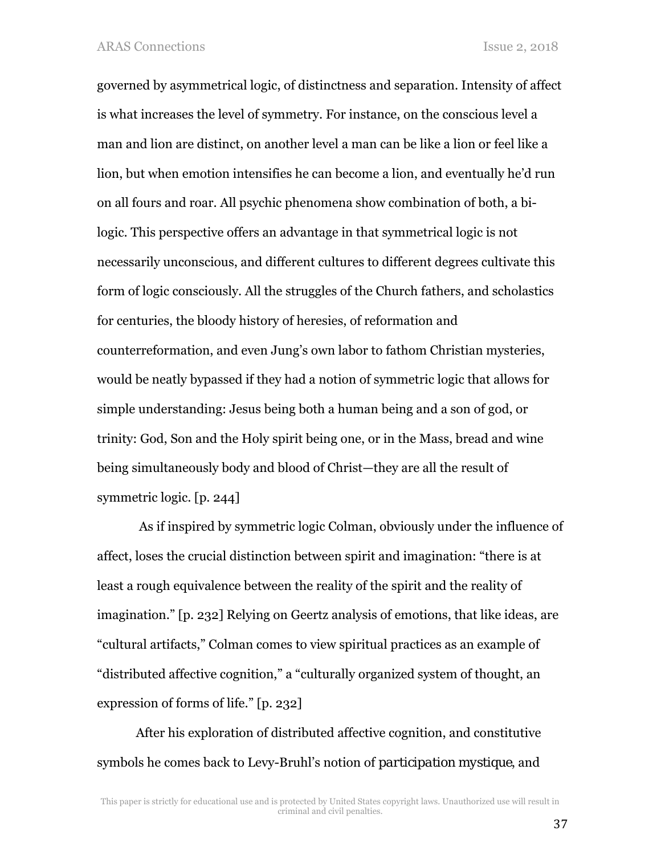governed by asymmetrical logic, of distinctness and separation. Intensity of affect is what increases the level of symmetry. For instance, on the conscious level a man and lion are distinct, on another level a man can be like a lion or feel like a lion, but when emotion intensifies he can become a lion, and eventually he'd run on all fours and roar. All psychic phenomena show combination of both, a bilogic. This perspective offers an advantage in that symmetrical logic is not necessarily unconscious, and different cultures to different degrees cultivate this form of logic consciously. All the struggles of the Church fathers, and scholastics for centuries, the bloody history of heresies, of reformation and counterreformation, and even Jung's own labor to fathom Christian mysteries, would be neatly bypassed if they had a notion of symmetric logic that allows for simple understanding: Jesus being both a human being and a son of god, or trinity: God, Son and the Holy spirit being one, or in the Mass, bread and wine being simultaneously body and blood of Christ—they are all the result of symmetric logic. [p. 244]

 As if inspired by symmetric logic Colman, obviously under the influence of affect, loses the crucial distinction between spirit and imagination: "there is at least a rough equivalence between the reality of the spirit and the reality of imagination." [p. 232] Relying on Geertz analysis of emotions, that like ideas, are "cultural artifacts," Colman comes to view spiritual practices as an example of "distributed affective cognition," a "culturally organized system of thought, an expression of forms of life." [p. 232]

After his exploration of distributed affective cognition, and constitutive symbols he comes back to Levy-Bruhl's notion of *participation mystique*, and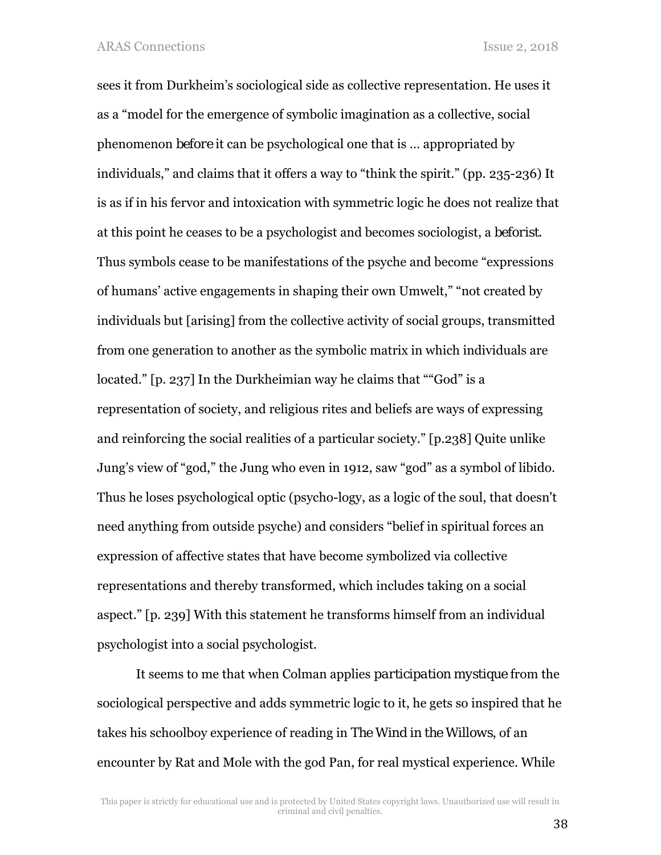sees it from Durkheim's sociological side as collective representation. He uses it as a "model for the emergence of symbolic imagination as a collective, social phenomenon *before* it can be psychological one that is … appropriated by individuals," and claims that it offers a way to "think the spirit." (pp. 235-236) It is as if in his fervor and intoxication with symmetric logic he does not realize that at this point he ceases to be a psychologist and becomes sociologist, a *beforist*. Thus symbols cease to be manifestations of the psyche and become "expressions of humans' active engagements in shaping their own Umwelt," "not created by individuals but [arising] from the collective activity of social groups, transmitted from one generation to another as the symbolic matrix in which individuals are located." [p. 237] In the Durkheimian way he claims that ""God" is a representation of society, and religious rites and beliefs are ways of expressing and reinforcing the social realities of a particular society." [p.238] Quite unlike Jung's view of "god," the Jung who even in 1912, saw "god" as a symbol of libido. Thus he loses psychological optic (psycho-logy, as a logic of the soul, that doesn't need anything from outside psyche) and considers "belief in spiritual forces an expression of affective states that have become symbolized via collective representations and thereby transformed, which includes taking on a social aspect." [p. 239] With this statement he transforms himself from an individual psychologist into a social psychologist.

It seems to me that when Colman applies *participation mystique* from the sociological perspective and adds symmetric logic to it, he gets so inspired that he takes his schoolboy experience of reading in *The Wind in the Willows*, of an encounter by Rat and Mole with the god Pan, for real mystical experience. While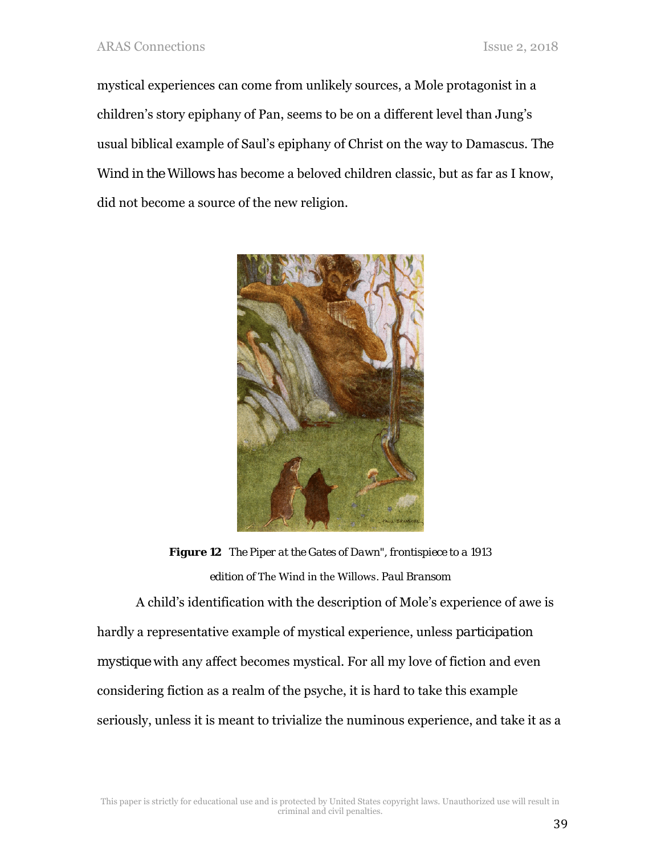mystical experiences can come from unlikely sources, a Mole protagonist in a children's story epiphany of Pan, seems to be on a different level than Jung's usual biblical example of Saul's epiphany of Christ on the way to Damascus. *The Wind in the Willows* has become a beloved children classic, but as far as I know, did not become a source of the new religion.



*Figure 12 The Piper at the Gates of Dawn", frontispiece to a 1913 edition of* The Wind in the Willows*. Paul Bransom* 

A child's identification with the description of Mole's experience of awe is hardly a representative example of mystical experience, unless *participation mystique* with any affect becomes mystical. For all my love of fiction and even considering fiction as a realm of the psyche, it is hard to take this example seriously, unless it is meant to trivialize the numinous experience, and take it as a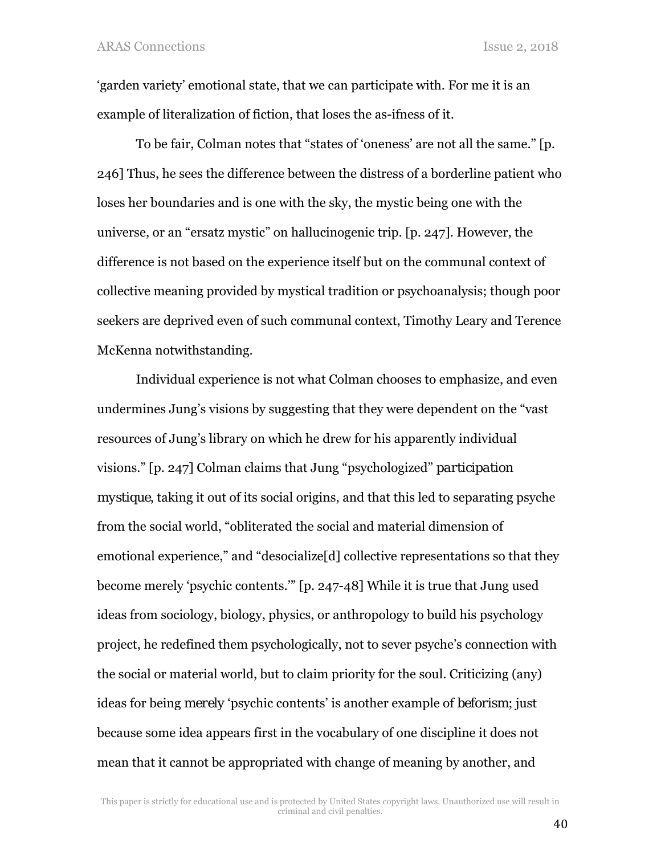'garden variety' emotional state, that we can participate with. For me it is an example of literalization of fiction, that loses the as-ifness of it.

To be fair, Colman notes that "states of 'oneness' are not all the same." [p. 246] Thus, he sees the difference between the distress of a borderline patient who loses her boundaries and is one with the sky, the mystic being one with the universe, or an "ersatz mystic" on hallucinogenic trip. [p. 247]. However, the difference is not based on the experience itself but on the communal context of collective meaning provided by mystical tradition or psychoanalysis; though poor seekers are deprived even of such communal context, Timothy Leary and Terence McKenna notwithstanding.

Individual experience is not what Colman chooses to emphasize, and even undermines Jung's visions by suggesting that they were dependent on the "vast resources of Jung's library on which he drew for his apparently individual visions." [p. 247] Colman claims that Jung "psychologized" *participation mystique*, taking it out of its social origins, and that this led to separating psyche from the social world, "obliterated the social and material dimension of emotional experience," and "desocialize[d] collective representations so that they become merely 'psychic contents.'" [p. 247-48] While it is true that Jung used ideas from sociology, biology, physics, or anthropology to build his psychology project, he redefined them psychologically, not to sever psyche's connection with the social or material world, but to claim priority for the soul. Criticizing (any) ideas for being *merely* 'psychic contents' is another example of *beforism*; just because some idea appears first in the vocabulary of one discipline it does not mean that it cannot be appropriated with change of meaning by another, and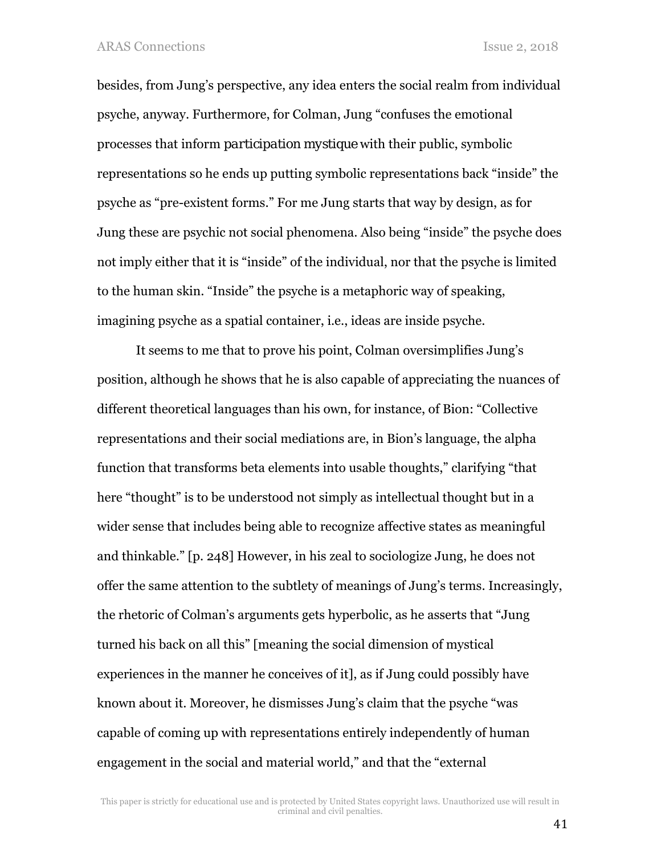besides, from Jung's perspective, any idea enters the social realm from individual psyche, anyway. Furthermore, for Colman, Jung "confuses the emotional processes that inform *participation mystique* with their public, symbolic representations so he ends up putting symbolic representations back "inside" the psyche as "pre-existent forms." For me Jung starts that way by design, as for Jung these are psychic not social phenomena. Also being "inside" the psyche does not imply either that it is "inside" of the individual, nor that the psyche is limited to the human skin. "Inside" the psyche is a metaphoric way of speaking, imagining psyche as a spatial container, i.e., ideas are inside psyche.

It seems to me that to prove his point, Colman oversimplifies Jung's position, although he shows that he is also capable of appreciating the nuances of different theoretical languages than his own, for instance, of Bion: "Collective representations and their social mediations are, in Bion's language, the alpha function that transforms beta elements into usable thoughts," clarifying "that here "thought" is to be understood not simply as intellectual thought but in a wider sense that includes being able to recognize affective states as meaningful and thinkable." [p. 248] However, in his zeal to sociologize Jung, he does not offer the same attention to the subtlety of meanings of Jung's terms. Increasingly, the rhetoric of Colman's arguments gets hyperbolic, as he asserts that "Jung turned his back on all this" [meaning the social dimension of mystical experiences in the manner he conceives of it], as if Jung could possibly have known about it. Moreover, he dismisses Jung's claim that the psyche "was capable of coming up with representations entirely independently of human engagement in the social and material world," and that the "external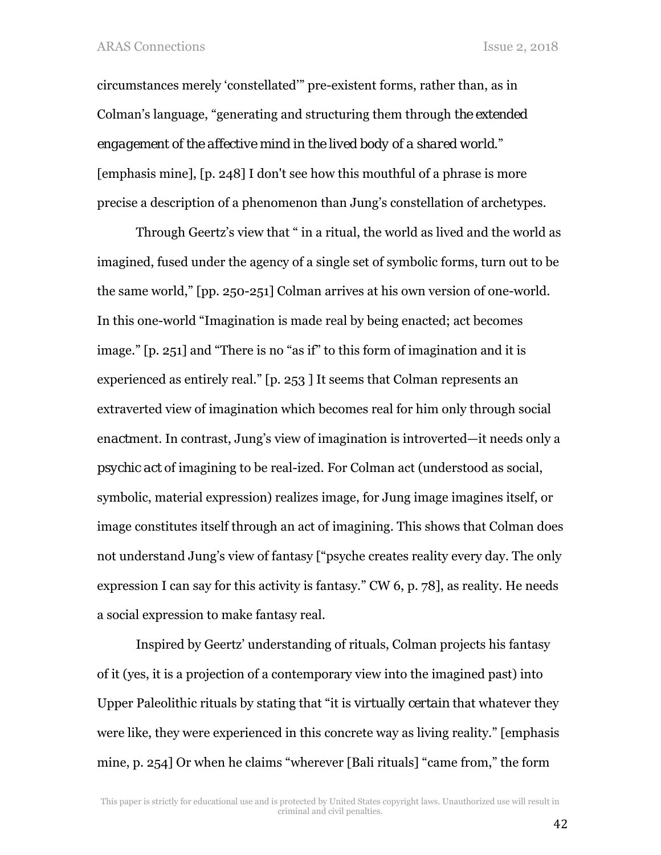circumstances merely 'constellated'" pre-existent forms, rather than, as in Colman's language, "generating and structuring them through *the extended engagement of the affective mind in the lived body of a shared world*." [emphasis mine], [p. 248] I don't see how this mouthful of a phrase is more precise a description of a phenomenon than Jung's constellation of archetypes.

Through Geertz's view that " in a ritual, the world as lived and the world as imagined, fused under the agency of a single set of symbolic forms, turn out to be the same world," [pp. 250-251] Colman arrives at his own version of one-world. In this one-world "Imagination is made real by being enacted; act becomes image." [p. 251] and "There is no "as if" to this form of imagination and it is experienced as entirely real." [p. 253 ] It seems that Colman represents an extraverted view of imagination which becomes real for him only through social en*act*ment. In contrast, Jung's view of imagination is introverted—it needs only a *psychic act* of imagining to be real-ized. For Colman act (understood as social, symbolic, material expression) realizes image, for Jung image imagines itself, or image constitutes itself through an act of imagining. This shows that Colman does not understand Jung's view of fantasy ["psyche creates reality every day. The only expression I can say for this activity is fantasy." CW 6, p. 78], as reality. He needs a social expression to make fantasy real.

Inspired by Geertz' understanding of rituals, Colman projects his fantasy of it (yes, it is a projection of a contemporary view into the imagined past) into Upper Paleolithic rituals by stating that "it is *virtually certain* that whatever they were like, they were experienced in this concrete way as living reality." [emphasis mine, p. 254] Or when he claims "wherever [Bali rituals] "came from," the form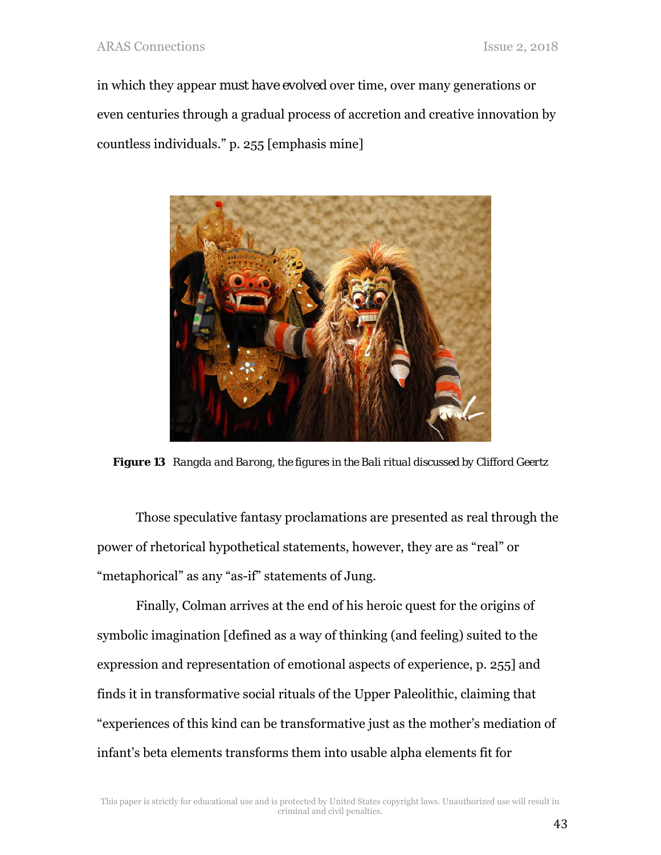in which they appear *must have evolved* over time, over many generations or even centuries through a gradual process of accretion and creative innovation by countless individuals." p. 255 [emphasis mine]



*Figure 13 Rangda and Barong, the figures in the Bali ritual discussed by Clifford Geertz* 

Those speculative fantasy proclamations are presented as real through the power of rhetorical hypothetical statements, however, they are as "real" or "metaphorical" as any "as-if" statements of Jung.

Finally, Colman arrives at the end of his heroic quest for the origins of symbolic imagination [defined as a way of thinking (and feeling) suited to the expression and representation of emotional aspects of experience, p. 255] and finds it in transformative social rituals of the Upper Paleolithic, claiming that "experiences of this kind can be transformative just as the mother's mediation of infant's beta elements transforms them into usable alpha elements fit for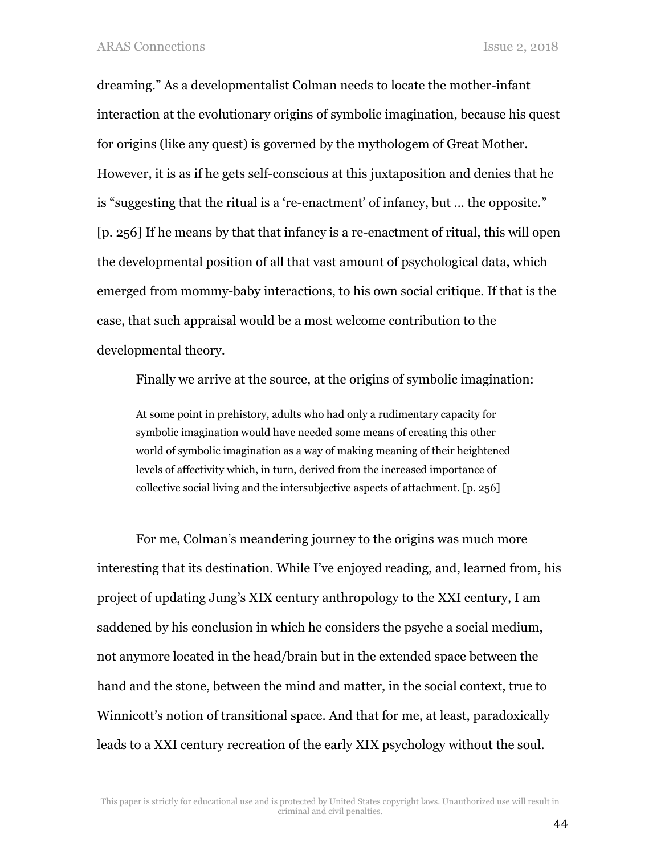dreaming." As a developmentalist Colman needs to locate the mother-infant interaction at the evolutionary origins of symbolic imagination, because his quest for origins (like any quest) is governed by the mythologem of Great Mother. However, it is as if he gets self-conscious at this juxtaposition and denies that he is "suggesting that the ritual is a 're-enactment' of infancy, but … the opposite." [p. 256] If he means by that that infancy is a re-enactment of ritual, this will open the developmental position of all that vast amount of psychological data, which emerged from mommy-baby interactions, to his own social critique. If that is the case, that such appraisal would be a most welcome contribution to the developmental theory.

Finally we arrive at the source, at the origins of symbolic imagination:

At some point in prehistory, adults who had only a rudimentary capacity for symbolic imagination would have needed some means of creating this other world of symbolic imagination as a way of making meaning of their heightened levels of affectivity which, in turn, derived from the increased importance of collective social living and the intersubjective aspects of attachment. [p. 256]

For me, Colman's meandering journey to the origins was much more interesting that its destination. While I've enjoyed reading, and, learned from, his project of updating Jung's XIX century anthropology to the XXI century, I am saddened by his conclusion in which he considers the psyche a social medium, not anymore located in the head/brain but in the extended space between the hand and the stone, between the mind and matter, in the social context, true to Winnicott's notion of transitional space. And that for me, at least, paradoxically leads to a XXI century recreation of the early XIX psychology without the soul.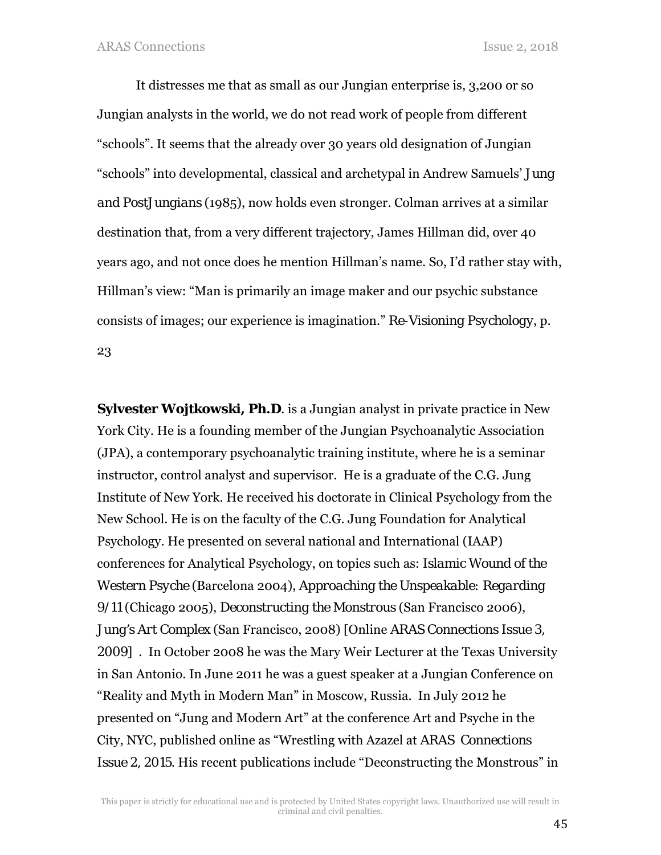It distresses me that as small as our Jungian enterprise is, 3,200 or so Jungian analysts in the world, we do not read work of people from different "schools". It seems that the already over 30 years old designation of Jungian "schools" into developmental, classical and archetypal in Andrew Samuels' *Jung and PostJungians* (1985), now holds even stronger. Colman arrives at a similar destination that, from a very different trajectory, James Hillman did, over 40 years ago, and not once does he mention Hillman's name. So, I'd rather stay with, Hillman's view: "Man is primarily an image maker and our psychic substance consists of images; our experience is imagination." *Re-Visioning Psychology*, p. 23

**Sylvester Wojtkowski, Ph.D**. is a Jungian analyst in private practice in New York City. He is a founding member of the Jungian Psychoanalytic Association (JPA), a contemporary psychoanalytic training institute, where he is a seminar instructor, control analyst and supervisor. He is a graduate of the C.G. Jung Institute of New York. He received his doctorate in Clinical Psychology from the New School. He is on the faculty of the C.G. Jung Foundation for Analytical Psychology. He presented on several national and International (IAAP) conferences for Analytical Psychology, on topics such as: *Islamic Wound of the Western Psyche* (Barcelona 2004), *Approaching the Unspeakable: Regarding 9/11* (Chicago 2005), *Deconstructing the Monstrous* (San Francisco 2006), *Jung's Art Complex* (San Francisco, 2008) [Online *ARAS Connections Issue 3, 2009*] . In October 2008 he was the Mary Weir Lecturer at the Texas University in San Antonio. In June 2011 he was a guest speaker at a Jungian Conference on "Reality and Myth in Modern Man" in Moscow, Russia. In July 2012 he presented on "Jung and Modern Art" at the conference Art and Psyche in the City, NYC, published online as "Wrestling with Azazel at *ARAS Connections Issue 2, 2015*. His recent publications include "Deconstructing the Monstrous" in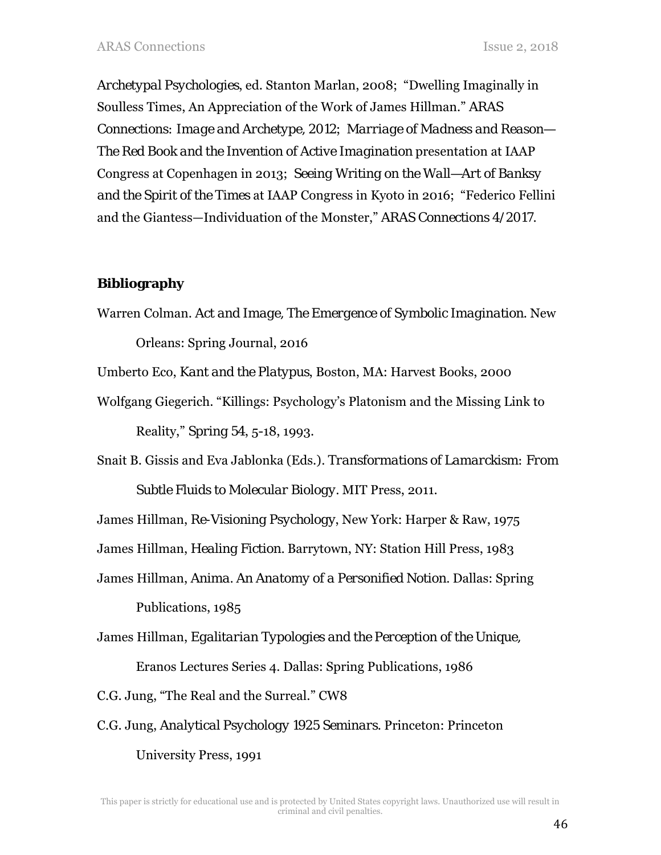*Archetypal Psychologies*, ed. Stanton Marlan, 2008; "Dwelling Imaginally in Soulless Times, An Appreciation of the Work of James Hillman." *ARAS Connections: Image and Archetype, 2012*; *Marriage of Madness and Reason— The Red Book and the Invention of Active Imagination* presentation at IAAP Congress at Copenhagen in 2013; *Seeing Writing on the Wall—Art of Banksy and the Spirit of the Times* at IAAP Congress in Kyoto in 2016; "Federico Fellini and the Giantess—Individuation of the Monster," *ARAS Connections 4/2017.*

## **Bibliography**

Warren Colman. *Act and Image, The Emergence of Symbolic Imagination*. New

Orleans: Spring Journal, 2016

Umberto Eco, *Kant and the Platypus*, Boston, MA: Harvest Books, 2000

Wolfgang Giegerich. "Killings: Psychology's Platonism and the Missing Link to

Reality," *Spring 54*, 5-18, 1993.

Snait B. Gissis and Eva Jablonka (Eds.)*. Transformations of Lamarckism: From* 

*Subtle Fluids to Molecular Biology.* MIT Press, 2011.

James Hillman, *Re-Visioning Psychology*, New York: Harper & Raw, 1975

James Hillman, *Healing Fiction.* Barrytown, NY: Station Hill Press, 1983

James Hillman, *Anima. An Anatomy of a Personified Notion.* Dallas: Spring Publications, 1985

James Hillman, *Egalitarian Typologies and the Perception of the Unique,* 

Eranos Lectures Series 4. Dallas: Spring Publications, 1986

C.G. Jung, "The Real and the Surreal." CW8

C.G. Jung, *Analytical Psychology 1925 Seminars*. Princeton: Princeton University Press, 1991